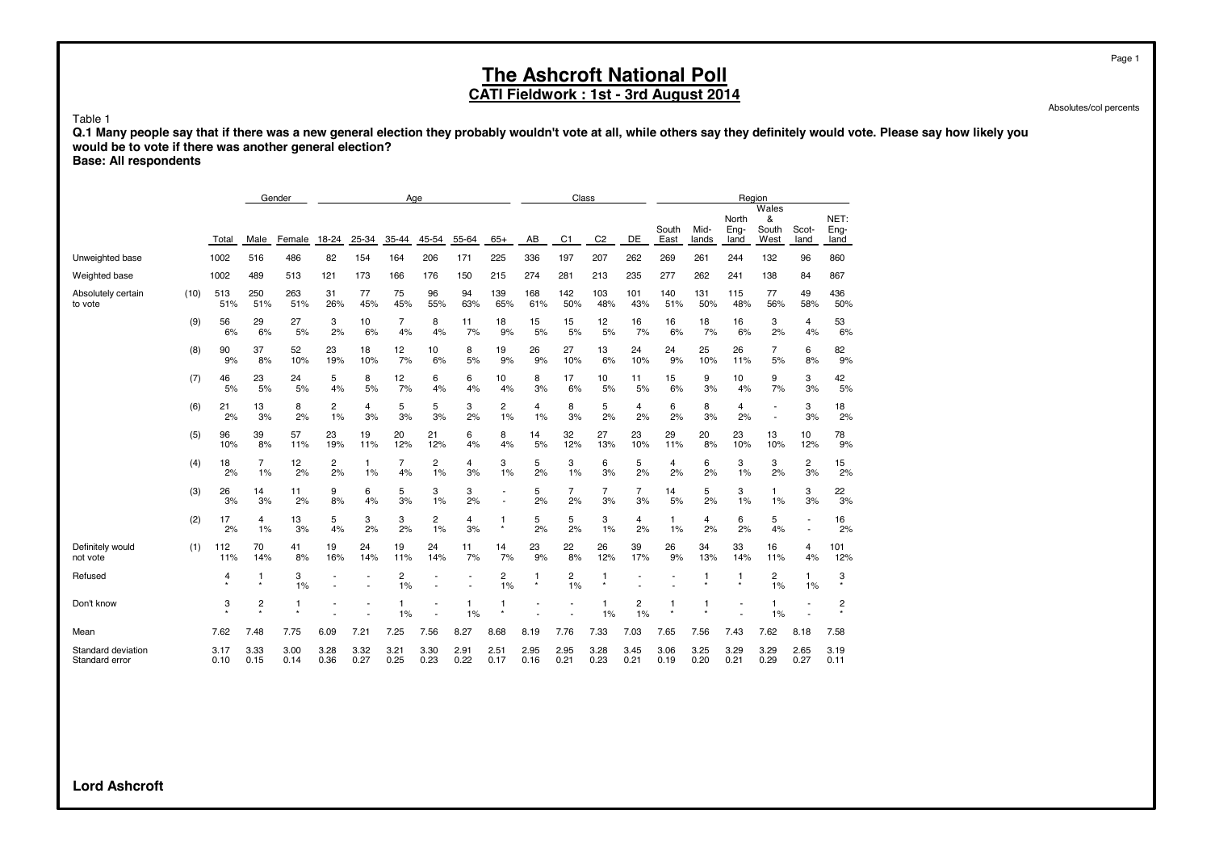**CATI Fieldwork : 1st - 3rd August 2014**

Absolutes/col percents

Table 1

**Q.1 Many people say that if there was a new general election they probably wouldn't vote at all, while others say they definitely would vote. Please say how likely you would be to vote if there was another general election?**

**Base: All respondents**

|                                      |      |              |                         | Gender       | Age          |              |              |              |              |                         |                         | Class                |                      |                      |               |               | Region                |                             |                |                      |
|--------------------------------------|------|--------------|-------------------------|--------------|--------------|--------------|--------------|--------------|--------------|-------------------------|-------------------------|----------------------|----------------------|----------------------|---------------|---------------|-----------------------|-----------------------------|----------------|----------------------|
|                                      |      | Total        | Male                    | Female       | 18-24        | 25-34        | 35-44        | 45-54        | 55-64        | $65+$                   | AB                      | C <sub>1</sub>       | C <sub>2</sub>       | DE                   | South<br>East | Mid-<br>lands | North<br>Eng-<br>land | Wales<br>&<br>South<br>West | Scot-<br>land  | NET:<br>Eng-<br>land |
| Unweighted base                      |      | 1002         | 516                     | 486          | 82           | 154          | 164          | 206          | 171          | 225                     | 336                     | 197                  | 207                  | 262                  | 269           | 261           | 244                   | 132                         | 96             | 860                  |
| Weighted base                        |      | 1002         | 489                     | 513          | 121          | 173          | 166          | 176          | 150          | 215                     | 274                     | 281                  | 213                  | 235                  | 277           | 262           | 241                   | 138                         | 84             | 867                  |
| Absolutely certain<br>to vote        | (10) | 513<br>51%   | 250<br>51%              | 263<br>51%   | 31<br>26%    | 77<br>45%    | 75<br>45%    | 96<br>55%    | 94<br>63%    | 139<br>65%              | 168<br>61%              | 142<br>50%           | 103<br>48%           | 101<br>43%           | 140<br>51%    | 131<br>50%    | 115<br>48%            | 77<br>56%                   | 49<br>58%      | 436<br>50%           |
|                                      | (9)  | 56<br>6%     | 29<br>6%                | 27<br>5%     | 3<br>2%      | 10<br>6%     | 7<br>4%      | 8<br>4%      | 11<br>7%     | 18<br>9%                | 15<br>5%                | 15<br>5%             | 12<br>5%             | 16<br>7%             | 16<br>6%      | 18<br>7%      | 16<br>6%              | 3<br>2%                     | 4<br>4%        | 53<br>6%             |
|                                      | (8)  | 90<br>9%     | 37<br>8%                | 52<br>10%    | 23<br>19%    | 18<br>10%    | 12<br>7%     | 10<br>6%     | 8<br>5%      | 19<br>9%                | 26<br>9%                | 27<br>10%            | 13<br>6%             | 24<br>10%            | 24<br>9%      | 25<br>10%     | 26<br>11%             | $\overline{7}$<br>5%        | 6<br>8%        | 82<br>9%             |
|                                      | (7)  | 46<br>5%     | 23<br>5%                | 24<br>5%     | 5<br>4%      | 8<br>5%      | 12<br>7%     | 6<br>4%      | 6<br>4%      | 10<br>4%                | 8<br>3%                 | 17<br>6%             | 10<br>5%             | 11<br>5%             | 15<br>6%      | 9<br>3%       | 10<br>4%              | 9<br>7%                     | 3<br>3%        | 42<br>5%             |
|                                      | (6)  | 21<br>2%     | 13<br>3%                | 8<br>2%      | 2<br>1%      | 4<br>3%      | 5<br>3%      | 5<br>3%      | 3<br>2%      | 2<br>1%                 | 4<br>1%                 | 8<br>3%              | 5<br>2%              | 4<br>2%              | 6<br>2%       | 8<br>3%       | 4<br>2%               | ٠                           | 3<br>3%        | 18<br>2%             |
|                                      | (5)  | 96<br>10%    | 39<br>8%                | 57<br>11%    | 23<br>19%    | 19<br>11%    | 20<br>12%    | 21<br>12%    | 6<br>4%      | 8<br>4%                 | 14<br>5%                | 32<br>12%            | 27<br>13%            | 23<br>10%            | 29<br>11%     | 20<br>8%      | 23<br>10%             | 13<br>10%                   | 10<br>12%      | 78<br>9%             |
|                                      | (4)  | 18<br>2%     | $\overline{7}$<br>1%    | 12<br>2%     | 2<br>2%      | 1<br>1%      | 7<br>4%      | 2<br>1%      | 4<br>3%      | 3<br>1%                 | 5<br>2%                 | 3<br>1%              | 6<br>3%              | 5<br>2%              | 4<br>2%       | 6<br>2%       | 3<br>1%               | 3<br>2%                     | 2<br>3%        | 15<br>2%             |
|                                      | (3)  | 26<br>3%     | 14<br>3%                | 11<br>2%     | 9<br>8%      | 6<br>4%      | 5<br>3%      | 3<br>1%      | 3<br>2%      |                         | 5<br>2%                 | $\overline{7}$<br>2% | $\overline{7}$<br>3% | $\overline{7}$<br>3% | 14<br>5%      | 5<br>2%       | 3<br>1%               | 1.<br>1%                    | 3<br>3%        | 22<br>3%             |
|                                      | (2)  | 17<br>2%     | $\overline{4}$<br>1%    | 13<br>3%     | 5<br>4%      | 3<br>2%      | 3<br>2%      | 2<br>1%      | 4<br>3%      | $\mathbf{1}$<br>$\star$ | 5<br>2%                 | 5<br>2%              | 3<br>1%              | 4<br>2%              | 1<br>1%       | 4<br>2%       | 6<br>2%               | 5<br>4%                     | $\blacksquare$ | 16<br>2%             |
| Definitely would<br>not vote         | (1)  | 112<br>11%   | 70<br>14%               | 41<br>8%     | 19<br>16%    | 24<br>14%    | 19<br>11%    | 24<br>14%    | 11<br>7%     | 14<br>7%                | 23<br>9%                | 22<br>8%             | 26<br>12%            | 39<br>17%            | 26<br>9%      | 34<br>13%     | 33<br>14%             | 16<br>11%                   | 4<br>4%        | 101<br>12%           |
| Refused                              |      | 4            | $\mathbf{1}$<br>$\star$ | 3<br>1%      |              |              | 2<br>1%      |              |              | 2<br>1%                 | $\mathbf{1}$<br>$\star$ | 2<br>1%              | $\mathbf{1}$         |                      |               | -1            | 1                     | 2<br>1%                     | 1<br>1%        | 3                    |
| Don't know                           |      | 3            | $\overline{2}$          | 1            |              |              | 1%           |              | 1<br>1%      | 1<br>$\star$            |                         |                      | 1<br>1%              | 2<br>1%              | 1             |               |                       | 1%                          |                | 2<br>$\star$         |
| Mean                                 |      | 7.62         | 7.48                    | 7.75         | 6.09         | 7.21         | 7.25         | 7.56         | 8.27         | 8.68                    | 8.19                    | 7.76                 | 7.33                 | 7.03                 | 7.65          | 7.56          | 7.43                  | 7.62                        | 8.18           | 7.58                 |
| Standard deviation<br>Standard error |      | 3.17<br>0.10 | 3.33<br>0.15            | 3.00<br>0.14 | 3.28<br>0.36 | 3.32<br>0.27 | 3.21<br>0.25 | 3.30<br>0.23 | 2.91<br>0.22 | 2.51<br>0.17            | 2.95<br>0.16            | 2.95<br>0.21         | 3.28<br>0.23         | 3.45<br>0.21         | 3.06<br>0.19  | 3.25<br>0.20  | 3.29<br>0.21          | 3.29<br>0.29                | 2.65<br>0.27   | 3.19<br>0.11         |

**Lord Ashcroft**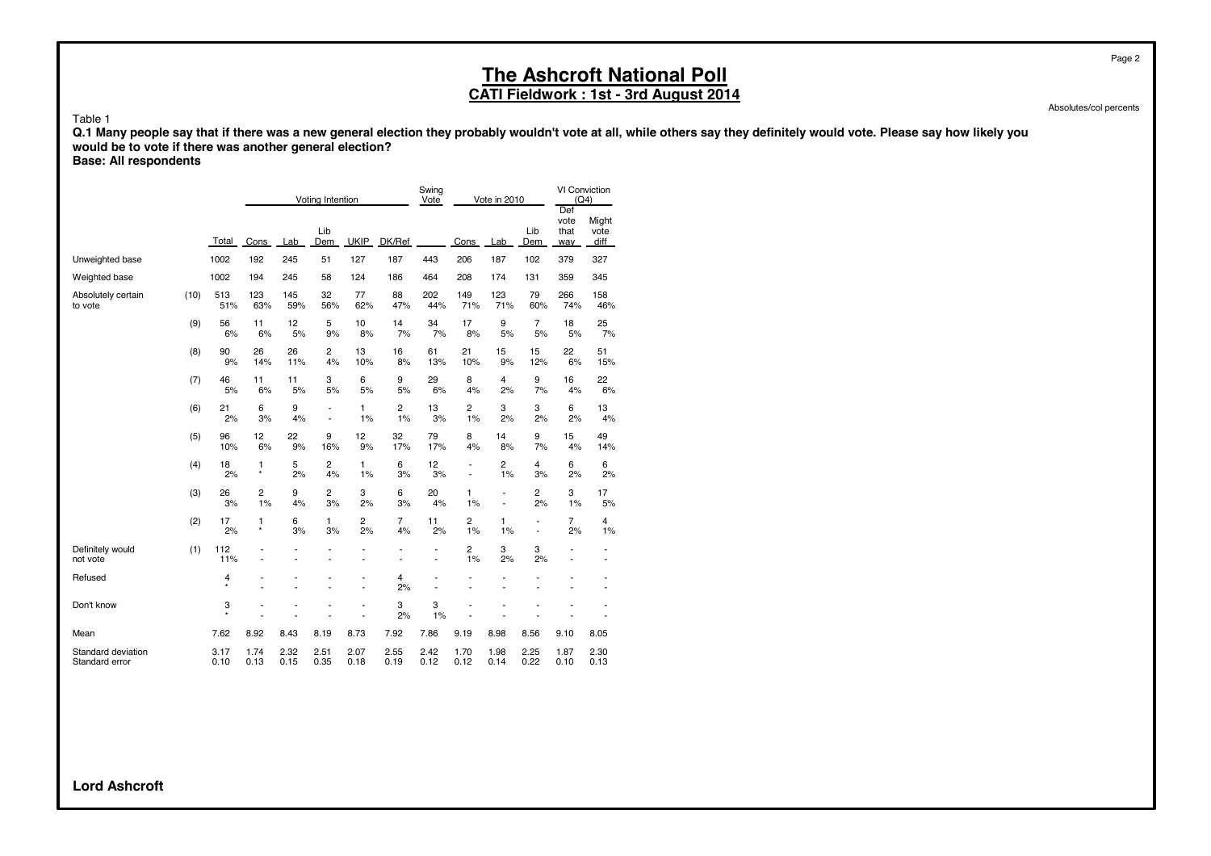#### **The Ashcroft National Poll CATI Fieldwork : 1st - 3rd August 2014**

Absolutes/col percents

Page 2

Table 1

**Q.1 Many people say that if there was a new general election they probably wouldn't vote at all, while others say they definitely would vote. Please say how likely you would be to vote if there was another general election?**

**Base: All respondents**

|                                      |      |              |                      |              | Voting Intention                           |                     |              | Swing<br>Vote                  |                      | Vote in 2010                               |                                  | VI Conviction<br>(Q4)<br>Def |                               |
|--------------------------------------|------|--------------|----------------------|--------------|--------------------------------------------|---------------------|--------------|--------------------------------|----------------------|--------------------------------------------|----------------------------------|------------------------------|-------------------------------|
|                                      |      | Total        | Cons                 | Lab          | Lib<br>Dem                                 | <b>UKIP</b>         | DK/Ref       |                                | Cons                 | Lab                                        | Lib<br>Dem                       | vote<br>that<br>way          | Might<br>vote<br>diff         |
| Unweighted base                      |      | 1002         | 192                  | 245          | 51                                         | 127                 | 187          | 443                            | 206                  | 187                                        | 102                              | 379                          | 327                           |
| Weighted base                        |      | 1002         | 194                  | 245          | 58                                         | 124                 | 186          | 464                            | 208                  | 174                                        | 131                              | 359                          | 345                           |
| Absolutely certain<br>to vote        | (10) | 513<br>51%   | 123<br>63%           | 145<br>59%   | 32<br>56%                                  | 77<br>62%           | 88<br>47%    | 202<br>44%                     | 149<br>71%           | 123<br>71%                                 | 79<br>60%                        | 266<br>74%                   | 158<br>46%                    |
|                                      | (9)  | 56<br>6%     | 11<br>6%             | 12<br>5%     | 5<br>9%                                    | 10<br>8%            | 14<br>7%     | 34<br>7%                       | 17<br>8%             | 9<br>5%                                    | $\overline{7}$<br>5%             | 18<br>5%                     | 25<br>7%                      |
|                                      | (8)  | 90<br>9%     | 26<br>14%            | 26<br>11%    | 2<br>4%                                    | 13<br>10%           | 16<br>8%     | 61<br>13%                      | 21<br>10%            | 15<br>9%                                   | 15<br>12%                        | 22<br>6%                     | 51<br>15%                     |
|                                      | (7)  | 46<br>5%     | 11<br>6%             | 11<br>5%     | 3<br>5%                                    | 6<br>5%             | 9<br>5%      | 29<br>6%                       | 8<br>4%              | 4<br>2%                                    | 9<br>7%                          | 16<br>4%                     | 22<br>6%                      |
|                                      | (6)  | 21<br>2%     | 6<br>3%              | 9<br>4%      | $\blacksquare$<br>$\overline{\phantom{a}}$ | $\mathbf{1}$<br>1%  | 2<br>1%      | 13<br>3%                       | $\overline{c}$<br>1% | 3<br>2%                                    | 3<br>2%                          | 6<br>2%                      | 13<br>4%                      |
|                                      | (5)  | 96<br>10%    | 12<br>6%             | 22<br>9%     | 9<br>16%                                   | 12<br>9%            | 32<br>17%    | 79<br>17%                      | 8<br>4%              | 14<br>8%                                   | 9<br>7%                          | 15<br>4%                     | 49<br>14%                     |
|                                      | (4)  | 18<br>2%     | 1<br>$\star$         | 5<br>2%      | 2<br>4%                                    | 1<br>1%             | 6<br>3%      | 12<br>3%                       | $\overline{a}$<br>٠  | 2<br>1%                                    | 4<br>3%                          | 6<br>2%                      | 6<br>2%                       |
|                                      | (3)  | 26<br>3%     | $\overline{c}$<br>1% | 9<br>4%      | 2<br>3%                                    | 3<br>2%             | 6<br>3%      | 20<br>4%                       | 1<br>1%              | $\overline{a}$<br>$\overline{\phantom{a}}$ | 2<br>2%                          | 3<br>1%                      | 17<br>5%                      |
|                                      | (2)  | 17<br>2%     | 1<br>$\star$         | 6<br>3%      | 1<br>3%                                    | 2<br>2%             | 7<br>4%      | 11<br>2%                       | 2<br>1%              | 1<br>1%                                    | $\blacksquare$<br>$\overline{a}$ | $\overline{7}$<br>2%         | 4<br>1%                       |
| Definitely would<br>not vote         | (1)  | 112<br>11%   |                      | ä,           | Ĭ.                                         | ä,<br>Ĭ.            | ä,           | $\overline{\phantom{a}}$<br>ä, | 2<br>1%              | 3<br>2%                                    | 3<br>2%                          | $\blacksquare$               | $\overline{\phantom{a}}$<br>٠ |
| Refused                              |      | 4<br>$\star$ | ٠                    |              |                                            | ٠<br>$\overline{a}$ | 4<br>2%      | L,                             | ٠                    |                                            |                                  |                              | ٠<br>٠                        |
| Don't know                           |      | 3<br>$\star$ |                      |              |                                            | ٠<br>L.             | 3<br>2%      | 3<br>1%                        |                      |                                            |                                  |                              |                               |
| Mean                                 |      | 7.62         | 8.92                 | 8.43         | 8.19                                       | 8.73                | 7.92         | 7.86                           | 9.19                 | 8.98                                       | 8.56                             | 9.10                         | 8.05                          |
| Standard deviation<br>Standard error |      | 3.17<br>0.10 | 1.74<br>0.13         | 2.32<br>0.15 | 2.51<br>0.35                               | 2.07<br>0.18        | 2.55<br>0.19 | 2.42<br>0.12                   | 1.70<br>0.12         | 1.98<br>0.14                               | 2.25<br>0.22                     | 1.87<br>0.10                 | 2.30<br>0.13                  |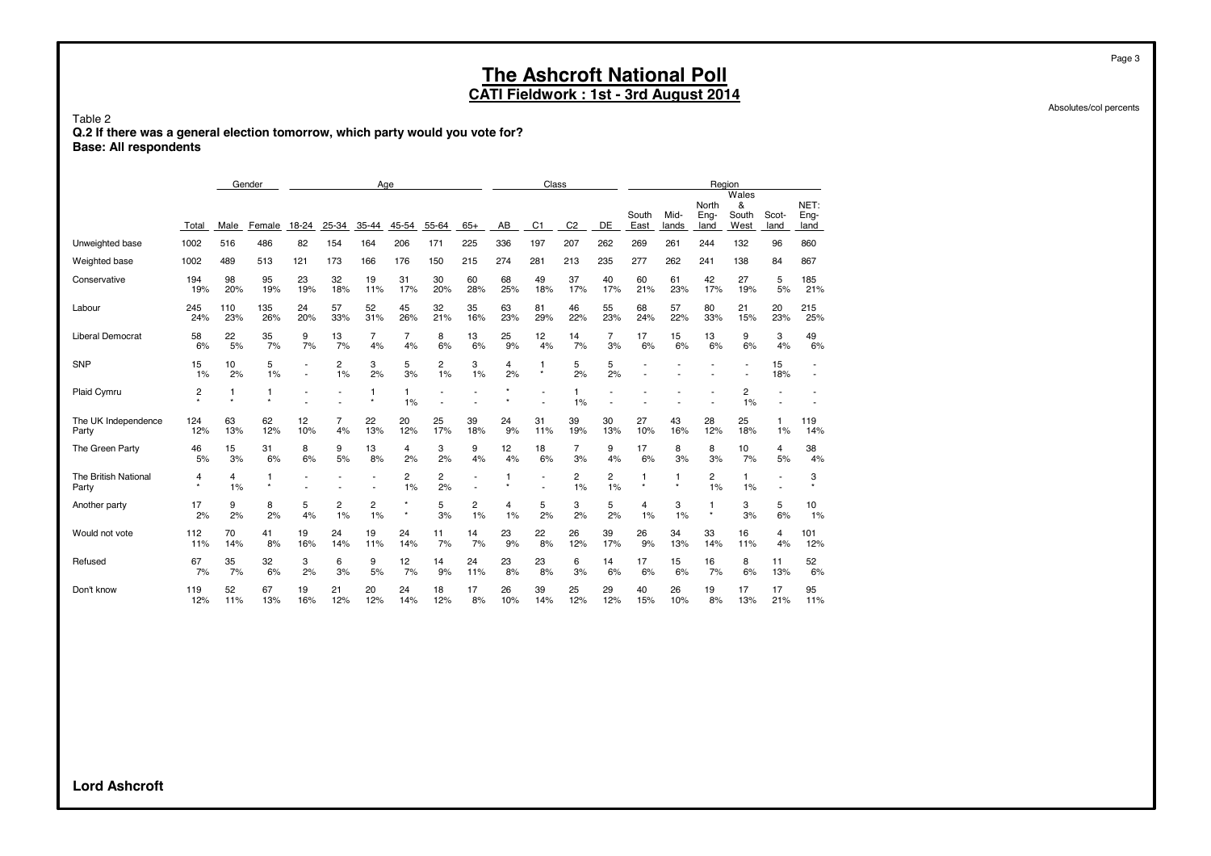**CATI Fieldwork : 1st - 3rd August 2014**

Table 2 **Q.2 If there was a general election tomorrow, which party would you vote for? Base: All respondents**

|                               |              |              | Gender       |         |                      |         | Age                |                      |         |         | Class          |                    |                |               |               |                       | Region                      |               |                      |
|-------------------------------|--------------|--------------|--------------|---------|----------------------|---------|--------------------|----------------------|---------|---------|----------------|--------------------|----------------|---------------|---------------|-----------------------|-----------------------------|---------------|----------------------|
|                               | Total        | Male         | Female       | 18-24   | 25-34                | 35-44   | 45-54              | 55-64                | $65+$   | AB      | C <sub>1</sub> | C <sub>2</sub>     | DE             | South<br>East | Mid-<br>lands | North<br>Eng-<br>land | Wales<br>&<br>South<br>West | Scot-<br>land | NET:<br>Eng-<br>land |
| Unweighted base               | 1002         | 516          | 486          | 82      | 154                  | 164     | 206                | 171                  | 225     | 336     | 197            | 207                | 262            | 269           | 261           | 244                   | 132                         | 96            | 860                  |
| Weighted base                 | 1002         | 489          | 513          | 121     | 173                  | 166     | 176                | 150                  | 215     | 274     | 281            | 213                | 235            | 277           | 262           | 241                   | 138                         | 84            | 867                  |
| Conservative                  | 194          | 98           | 95           | 23      | 32                   | 19      | 31                 | 30                   | 60      | 68      | 49             | 37                 | 40             | 60            | 61            | 42                    | 27                          | 5             | 185                  |
|                               | 19%          | 20%          | 19%          | 19%     | 18%                  | 11%     | 17%                | 20%                  | 28%     | 25%     | 18%            | 17%                | 17%            | 21%           | 23%           | 17%                   | 19%                         | 5%            | 21%                  |
| Labour                        | 245          | 110          | 135          | 24      | 57                   | 52      | 45                 | 32                   | 35      | 63      | 81             | 46                 | 55             | 68            | 57            | 80                    | 21                          | 20            | 215                  |
|                               | 24%          | 23%          | 26%          | 20%     | 33%                  | 31%     | 26%                | 21%                  | 16%     | 23%     | 29%            | 22%                | 23%            | 24%           | 22%           | 33%                   | 15%                         | 23%           | 25%                  |
| <b>Liberal Democrat</b>       | 58           | 22           | 35           | 9       | 13                   | 7       | $\overline{7}$     | 8                    | 13      | 25      | 12             | 14                 | $\overline{7}$ | 17            | 15            | 13                    | 9                           | 3             | 49                   |
|                               | 6%           | 5%           | 7%           | 7%      | 7%                   | 4%      | 4%                 | 6%                   | 6%      | 9%      | 4%             | 7%                 | 3%             | 6%            | 6%            | 6%                    | 6%                          | 4%            | 6%                   |
| <b>SNP</b>                    | 15<br>1%     | 10<br>2%     | 5<br>1%      |         | $\overline{c}$<br>1% | 3<br>2% | 5<br>3%            | $\overline{c}$<br>1% | 3<br>1% | 4<br>2% | 1<br>$\star$   | 5<br>2%            | 5<br>2%        |               |               |                       |                             | 15<br>18%     |                      |
| Plaid Cymru                   | 2            | 1<br>$\star$ | 1<br>$\star$ |         |                      |         | $\mathbf{1}$<br>1% |                      |         |         |                | $\mathbf{1}$<br>1% |                |               |               |                       | 2<br>1%                     |               |                      |
| The UK Independence           | 124          | 63           | 62           | 12      | $\overline{7}$       | 22      | 20                 | 25                   | 39      | 24      | 31             | 39                 | 30             | 27            | 43            | 28                    | 25                          | 1             | 119                  |
| Party                         | 12%          | 13%          | 12%          | 10%     | 4%                   | 13%     | 12%                | 17%                  | 18%     | 9%      | 11%            | 19%                | 13%            | 10%           | 16%           | 12%                   | 18%                         | 1%            | 14%                  |
| The Green Party               | 46           | 15           | 31           | 8       | 9                    | 13      | 4                  | 3                    | 9       | 12      | 18             | $\overline{7}$     | 9              | 17            | 8             | 8                     | 10                          | 4             | 38                   |
|                               | 5%           | 3%           | 6%           | 6%      | 5%                   | 8%      | 2%                 | 2%                   | 4%      | 4%      | 6%             | 3%                 | 4%             | 6%            | 3%            | 3%                    | 7%                          | 5%            | 4%                   |
| The British National<br>Party | 4<br>$\star$ | 4<br>1%      | 1<br>$\star$ |         |                      |         | 2<br>1%            | 2<br>2%              |         | 1       | ٠              | 2<br>1%            | 2<br>1%        | 1<br>$\star$  |               | 2<br>1%               | 1<br>1%                     |               | 3                    |
| Another party                 | 17<br>2%     | 9<br>2%      | 8<br>2%      | 5<br>4% | 2<br>1%              | 2<br>1% | $\star$            | 5<br>3%              | 2<br>1% | 4<br>1% | 5<br>2%        | 3<br>2%            | 5<br>2%        | 4<br>1%       | 3<br>1%       | 1<br>$\star$          | 3<br>3%                     | 5<br>6%       | 10<br>1%             |
| Would not vote                | 112          | 70           | 41           | 19      | 24                   | 19      | 24                 | 11                   | 14      | 23      | 22             | 26                 | 39             | 26            | 34            | 33                    | 16                          | 4             | 101                  |
|                               | 11%          | 14%          | 8%           | 16%     | 14%                  | 11%     | 14%                | 7%                   | 7%      | 9%      | 8%             | 12%                | 17%            | 9%            | 13%           | 14%                   | 11%                         | 4%            | 12%                  |
| Refused                       | 67           | 35           | 32           | 3       | 6                    | 9       | 12                 | 14                   | 24      | 23      | 23             | 6                  | 14             | 17            | 15            | 16                    | 8                           | 11            | 52                   |
|                               | 7%           | 7%           | 6%           | 2%      | 3%                   | 5%      | 7%                 | 9%                   | 11%     | 8%      | 8%             | 3%                 | 6%             | 6%            | 6%            | 7%                    | 6%                          | 13%           | 6%                   |
| Don't know                    | 119          | 52           | 67           | 19      | 21                   | 20      | 24                 | 18                   | 17      | 26      | 39             | 25                 | 29             | 40            | 26            | 19                    | 17                          | 17            | 95                   |
|                               | 12%          | 11%          | 13%          | 16%     | 12%                  | 12%     | 14%                | 12%                  | 8%      | 10%     | 14%            | 12%                | 12%            | 15%           | 10%           | 8%                    | 13%                         | 21%           | 11%                  |

Absolutes/col percents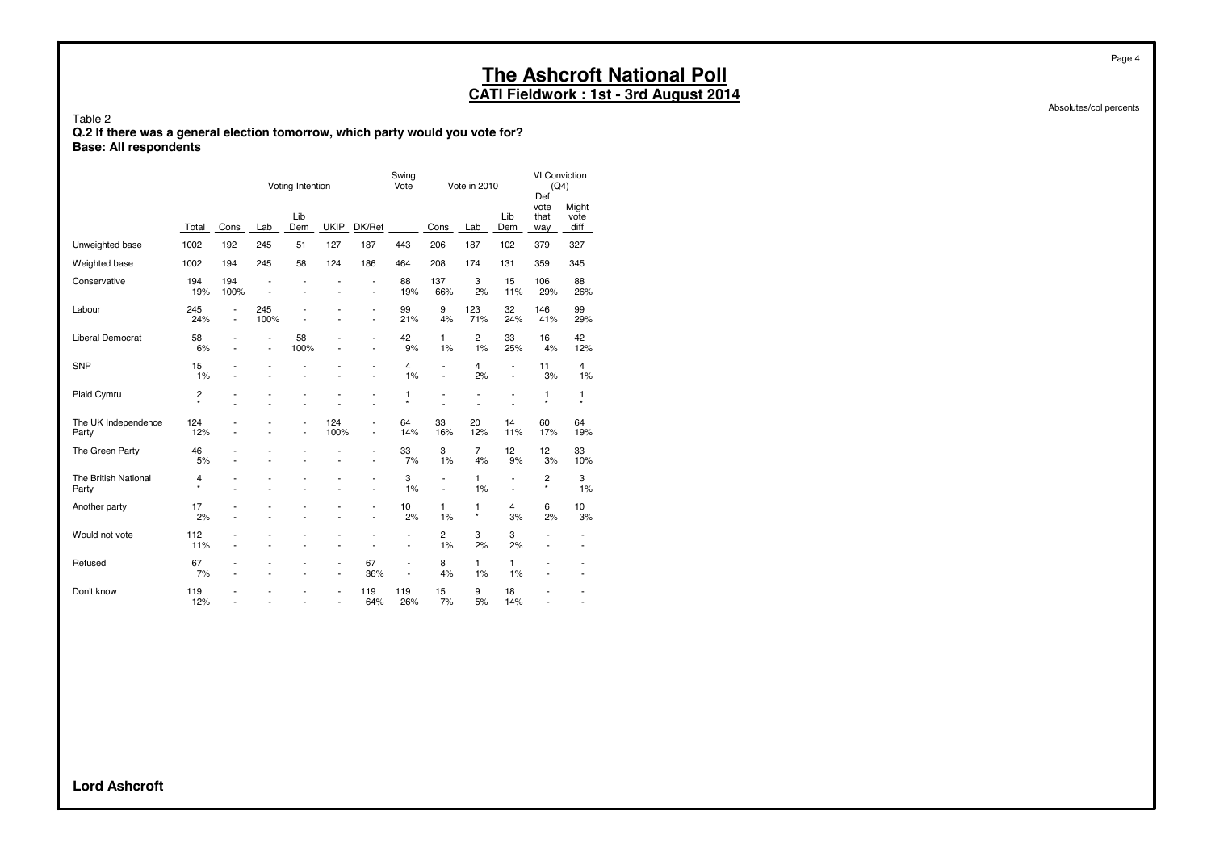**CATI Fieldwork : 1st - 3rd August 2014**

Table 2 **Q.2 If there was a general election tomorrow, which party would you vote for? Base: All respondents**

|                               |              |                                            |             | Voting Intention     |                                |                               | Swing<br>Vote                                        |                      | Vote in 2010         |                                  | VI Conviction<br>(Q4)<br>Def |                                   |
|-------------------------------|--------------|--------------------------------------------|-------------|----------------------|--------------------------------|-------------------------------|------------------------------------------------------|----------------------|----------------------|----------------------------------|------------------------------|-----------------------------------|
|                               | Total        | Cons                                       | Lab         | Lib<br>Dem           | <b>UKIP</b>                    | DK/Ref                        |                                                      | Cons                 | Lab                  | Lib<br>Dem                       | vote<br>that<br>way          | Might<br>vote<br>diff             |
| Unweighted base               | 1002         | 192                                        | 245         | 51                   | 127                            | 187                           | 443                                                  | 206                  | 187                  | 102                              | 379                          | 327                               |
| Weighted base                 | 1002         | 194                                        | 245         | 58                   | 124                            | 186                           | 464                                                  | 208                  | 174                  | 131                              | 359                          | 345                               |
| Conservative                  | 194<br>19%   | 194<br>100%                                |             |                      |                                | ٠<br>ä,                       | 88<br>19%                                            | 137<br>66%           | 3<br>2%              | 15<br>11%                        | 106<br>29%                   | 88<br>26%                         |
| Labour                        | 245<br>24%   | $\blacksquare$<br>$\overline{\phantom{a}}$ | 245<br>100% |                      | ÷                              | ٠                             | 99<br>21%                                            | 9<br>4%              | 123<br>71%           | 32<br>24%                        | 146<br>41%                   | 99<br>29%                         |
| <b>Liberal Democrat</b>       | 58<br>6%     | ٠<br>٠                                     | ٠<br>٠      | 58<br>100%           | ٠                              | ٠<br>$\overline{\phantom{0}}$ | 42<br>9%                                             | 1<br>1%              | $\overline{c}$<br>1% | 33<br>25%                        | 16<br>4%                     | 42<br>12%                         |
| <b>SNP</b>                    | 15<br>1%     |                                            | ٠           |                      |                                | ٠                             | 4<br>1%                                              | L,<br>L,             | $\overline{4}$<br>2% | $\overline{a}$<br>$\overline{a}$ | 11<br>3%                     | 4<br>1%                           |
| Plaid Cymru                   | 2<br>$\star$ |                                            |             |                      |                                | ٠                             | 1<br>$\star$                                         | ٠                    | ٠                    | $\overline{\phantom{m}}$         | 1<br>$\star$                 | $\mathbf{1}$<br>$^\star$          |
| The UK Independence<br>Party  | 124<br>12%   |                                            |             | $\overline{a}$<br>ä, | 124<br>100%                    | ٠                             | 64<br>14%                                            | 33<br>16%            | 20<br>12%            | 14<br>11%                        | 60<br>17%                    | 64<br>19%                         |
| The Green Party               | 46<br>5%     | ٠                                          | ä,          | $\overline{a}$       | Ĭ.                             | ٠                             | 33<br>7%                                             | 3<br>1%              | 7<br>4%              | 12<br>9%                         | 12<br>3%                     | 33<br>10%                         |
| The British National<br>Party | 4<br>$\star$ |                                            |             |                      |                                | ä,                            | 3<br>1%                                              | $\overline{a}$       | 1<br>1%              | $\overline{a}$<br>$\blacksquare$ | 2<br>$\star$                 | 3<br>1%                           |
| Another party                 | 17<br>2%     | ä,                                         | ٠           |                      | ä,                             | ٠                             | 10<br>2%                                             | 1<br>1%              | 1<br>×               | 4<br>3%                          | 6<br>2%                      | 10<br>3%                          |
| Would not vote                | 112<br>11%   | ٠                                          |             |                      | ٠                              |                               | $\overline{\phantom{a}}$<br>$\overline{\phantom{m}}$ | $\overline{c}$<br>1% | 3<br>2%              | 3<br>2%                          | ٠<br>٠                       | $\qquad \qquad \blacksquare$<br>٠ |
| Refused                       | 67<br>7%     |                                            |             |                      | $\overline{\phantom{m}}$<br>Ĭ. | 67<br>36%                     | $\overline{\phantom{m}}$<br>Ĭ.                       | 8<br>4%              | $\mathbf{1}$<br>1%   | 1<br>1%                          |                              |                                   |
| Don't know                    | 119<br>12%   |                                            |             |                      | Ĭ.<br>÷                        | 119<br>64%                    | 119<br>26%                                           | 15<br>7%             | 9<br>5%              | 18<br>14%                        | ÷                            |                                   |

Absolutes/col percents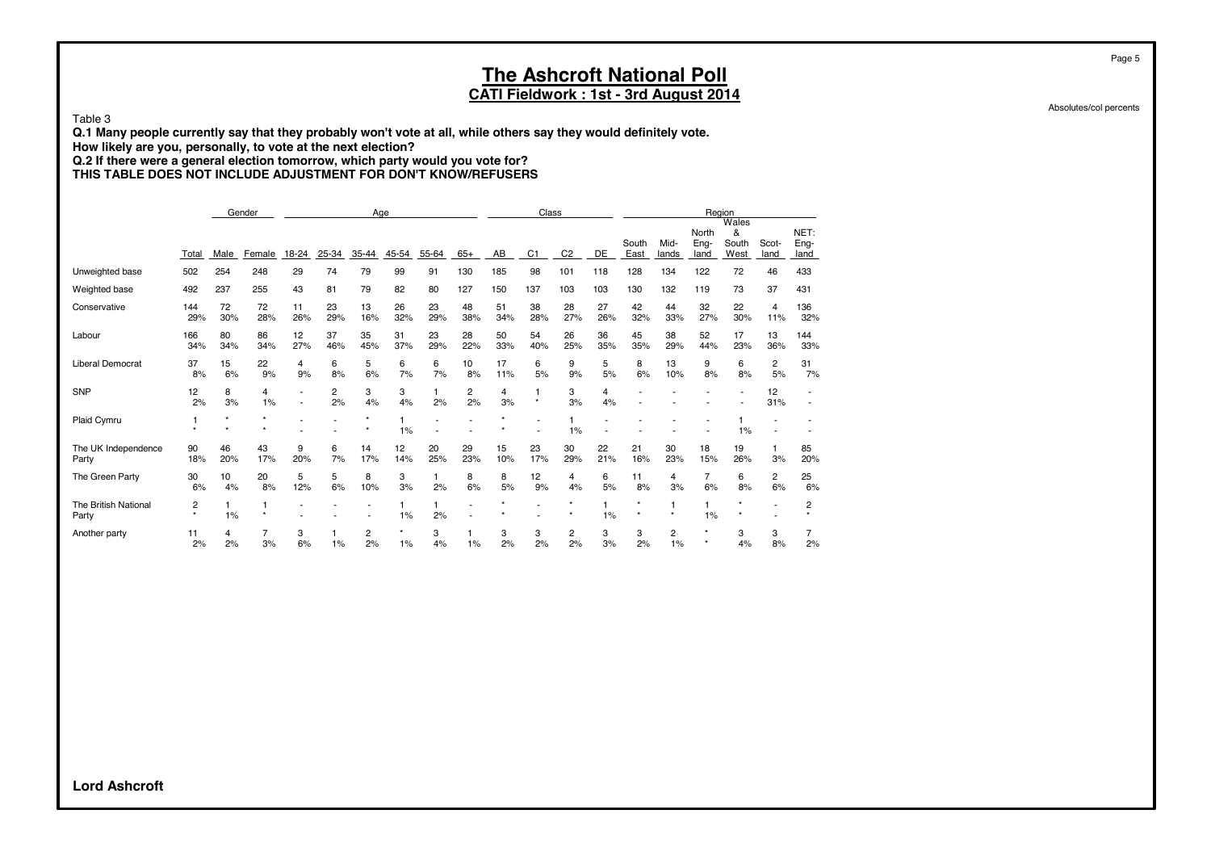**CATI Fieldwork : 1st - 3rd August 2014**

Table 3

**Q.1 Many people currently say that they probably won't vote at all, while others say they would definitely vote.**

**How likely are you, personally, to vote at the next election?**

**Q.2 If there were a general election tomorrow, which party would you vote for?**

**THIS TABLE DOES NOT INCLUDE ADJUSTMENT FOR DON'T KNOW/REFUSERS**

|                               |              |                    | Gender       |           |           |           | Age       |           |           |           | Class          |                |           |                    |               | Region                |                             |               |                      |
|-------------------------------|--------------|--------------------|--------------|-----------|-----------|-----------|-----------|-----------|-----------|-----------|----------------|----------------|-----------|--------------------|---------------|-----------------------|-----------------------------|---------------|----------------------|
|                               | Total        | Male               | Female       | 18-24     | 25-34     | 35-44     | 45-54     | 55-64     | $65+$     | AB        | C <sub>1</sub> | C <sub>2</sub> | DE        | South<br>East      | Mid-<br>lands | North<br>Eng-<br>land | Wales<br>&<br>South<br>West | Scot-<br>land | NET:<br>Eng-<br>land |
| Unweighted base               | 502          | 254                | 248          | 29        | 74        | 79        | 99        | 91        | 130       | 185       | 98             | 101            | 118       | 128                | 134           | 122                   | 72                          | 46            | 433                  |
| Weighted base                 | 492          | 237                | 255          | 43        | 81        | 79        | 82        | 80        | 127       | 150       | 137            | 103            | 103       | 130                | 132           | 119                   | 73                          | 37            | 431                  |
| Conservative                  | 144<br>29%   | 72<br>30%          | 72<br>28%    | 11<br>26% | 23<br>29% | 13<br>16% | 26<br>32% | 23<br>29% | 48<br>38% | 51<br>34% | 38<br>28%      | 28<br>27%      | 27<br>26% | 42<br>32%          | 44<br>33%     | 32<br>27%             | 22<br>30%                   | 4<br>11%      | 136<br>32%           |
| Labour                        | 166<br>34%   | 80<br>34%          | 86<br>34%    | 12<br>27% | 37<br>46% | 35<br>45% | 31<br>37% | 23<br>29% | 28<br>22% | 50<br>33% | 54<br>40%      | 26<br>25%      | 36<br>35% | 45<br>35%          | 38<br>29%     | 52<br>44%             | 17<br>23%                   | 13<br>36%     | 144<br>33%           |
| Liberal Democrat              | 37<br>8%     | 15<br>6%           | 22<br>9%     | 4<br>9%   | 6<br>8%   | 5<br>6%   | 6<br>7%   | 6<br>7%   | 10<br>8%  | 17<br>11% | 6<br>5%        | 9<br>9%        | 5<br>5%   | 8<br>6%            | 13<br>10%     | 9<br>8%               | 6<br>8%                     | 2<br>5%       | 31<br>7%             |
| <b>SNP</b>                    | 12<br>2%     | 8<br>3%            | 4<br>1%      |           | 2<br>2%   | 3<br>4%   | 3<br>4%   | 1<br>2%   | 2<br>2%   | 4<br>3%   | 1<br>$\star$   | 3<br>3%        | 4<br>4%   |                    |               |                       |                             | 12<br>31%     |                      |
| Plaid Cymru                   | 1<br>$\star$ | $\star$<br>$\star$ |              |           |           |           | 1%        |           |           |           |                | 1%             |           |                    |               |                       | 1%                          |               |                      |
| The UK Independence<br>Party  | 90<br>18%    | 46<br>20%          | 43<br>17%    | 9<br>20%  | 6<br>7%   | 14<br>17% | 12<br>14% | 20<br>25% | 29<br>23% | 15<br>10% | 23<br>17%      | 30<br>29%      | 22<br>21% | 21<br>16%          | 30<br>23%     | 18<br>15%             | 19<br>26%                   | 3%            | 85<br>20%            |
| The Green Party               | 30<br>6%     | 10<br>4%           | 20<br>8%     | 5<br>12%  | 5<br>6%   | 8<br>10%  | 3<br>3%   | 1<br>2%   | 8<br>6%   | 8<br>5%   | 12<br>9%       | 4<br>4%        | 6<br>5%   | 11<br>8%           | 4<br>3%       | $\overline{7}$<br>6%  | 6<br>8%                     | 2<br>6%       | 25<br>6%             |
| The British National<br>Party | 2<br>$\star$ | 1%                 | 1<br>$\star$ |           |           |           | 1%        | 2%        |           |           |                |                | 1<br>1%   | $\star$<br>$\star$ | $\star$       | $\mathbf{1}$<br>1%    | $\star$<br>$\star$          |               | 2                    |
| Another party                 | 11<br>2%     | 4<br>2%            | 3%           | 3<br>6%   | 1%        | 2<br>2%   | $1\%$     | 3<br>4%   | 1%        | 3<br>2%   | 3<br>2%        | 2<br>2%        | 3<br>3%   | 3<br>2%            | 2<br>1%       |                       | 3<br>4%                     | 3<br>8%       | 2%                   |

Absolutes/col percents

Page 5

**Lord Ashcroft**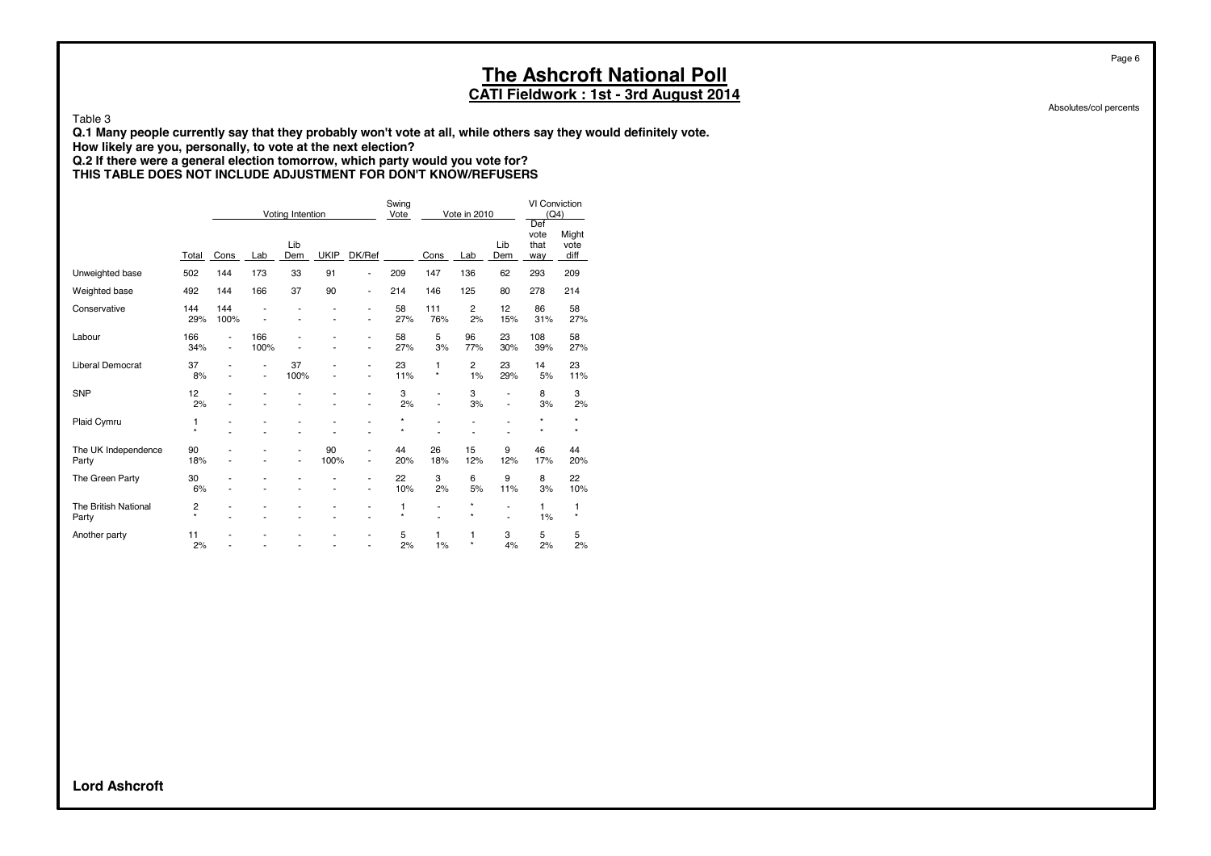**CATI Fieldwork : 1st - 3rd August 2014**

Table 3

**Q.1 Many people currently say that they probably won't vote at all, while others say they would definitely vote.**

**How likely are you, personally, to vote at the next election?**

**Q.2 If there were a general election tomorrow, which party would you vote for? THIS TABLE DOES NOT INCLUDE ADJUSTMENT FOR DON'T KNOW/REFUSERS**

|                               |                           |                                                      |                                                      | Voting Intention                           |                     |                                | Swing<br>Vote      |                          | Vote in 2010         |                                  | VI Conviction<br>(Q4)      |                       |
|-------------------------------|---------------------------|------------------------------------------------------|------------------------------------------------------|--------------------------------------------|---------------------|--------------------------------|--------------------|--------------------------|----------------------|----------------------------------|----------------------------|-----------------------|
|                               | Total                     | Cons                                                 | Lab                                                  | Lib<br>Dem                                 | <b>UKIP</b>         | DK/Ref                         |                    | Cons                     | Lab                  | Lib<br>Dem                       | Def<br>vote<br>that<br>way | Might<br>vote<br>diff |
| Unweighted base               | 502                       | 144                                                  | 173                                                  | 33                                         | 91                  | ä,                             | 209                | 147                      | 136                  | 62                               | 293                        | 209                   |
| Weighted base                 | 492                       | 144                                                  | 166                                                  | 37                                         | 90                  | $\overline{\phantom{0}}$       | 214                | 146                      | 125                  | 80                               | 278                        | 214                   |
| Conservative                  | 144<br>29%                | 144<br>100%                                          |                                                      |                                            |                     | ä,<br>ä,                       | 58<br>27%          | 111<br>76%               | $\overline{2}$<br>2% | 12<br>15%                        | 86<br>31%                  | 58<br>27%             |
| Labour                        | 166<br>34%                | $\overline{\phantom{m}}$<br>$\overline{\phantom{m}}$ | 166<br>100%                                          |                                            | ٠                   | ä,<br>ä,                       | 58<br>27%          | 5<br>3%                  | 96<br>77%            | 23<br>30%                        | 108<br>39%                 | 58<br>27%             |
| <b>Liberal Democrat</b>       | 37<br>8%                  |                                                      | $\overline{\phantom{a}}$<br>$\overline{\phantom{a}}$ | 37<br>100%                                 |                     | ä,<br>$\overline{\phantom{0}}$ | 23<br>11%          | 1<br>$^\star$            | 2<br>1%              | 23<br>29%                        | 14<br>5%                   | 23<br>11%             |
| <b>SNP</b>                    | 12<br>2%                  |                                                      | ٠                                                    |                                            |                     | $\overline{a}$<br>L,           | 3<br>2%            | ä,<br>ä,                 | 3<br>3%              | $\overline{a}$<br>$\overline{a}$ | 8<br>3%                    | 3<br>2%               |
| Plaid Cymru                   | 1<br>$\star$              |                                                      |                                                      |                                            | ä,                  | ä,                             | $\star$<br>$\star$ | ÷                        | Ĭ.<br>Ĭ.             | $\overline{a}$                   | $\star$<br>$\star$         | $\star$<br>$\star$    |
| The UK Independence<br>Party  | 90<br>18%                 |                                                      | ٠                                                    | $\overline{\phantom{m}}$<br>$\overline{a}$ | 90<br>100%          | ä,<br>ä,                       | 44<br>20%          | 26<br>18%                | 15<br>12%            | 9<br>12%                         | 46<br>17%                  | 44<br>20%             |
| The Green Party               | 30<br>6%                  |                                                      |                                                      |                                            | ٠<br>$\overline{a}$ | ä,<br>$\overline{\phantom{a}}$ | 22<br>10%          | 3<br>2%                  | 6<br>5%              | 9<br>11%                         | 8<br>3%                    | 22<br>10%             |
| The British National<br>Party | $\overline{c}$<br>$\star$ |                                                      |                                                      |                                            | ٠                   | ٠<br>÷                         | 1<br>$\star$       | $\overline{\phantom{0}}$ | *<br>$\star$         | $\overline{a}$<br>L.             | 1<br>1%                    | 1<br>$\star$          |
| Another party                 | 11<br>2%                  |                                                      |                                                      |                                            | ٠                   | ٠<br>ä,                        | 5<br>2%            | 1<br>1%                  | 1<br>$\star$         | 3<br>4%                          | 5<br>2%                    | 5<br>2%               |

Absolutes/col percents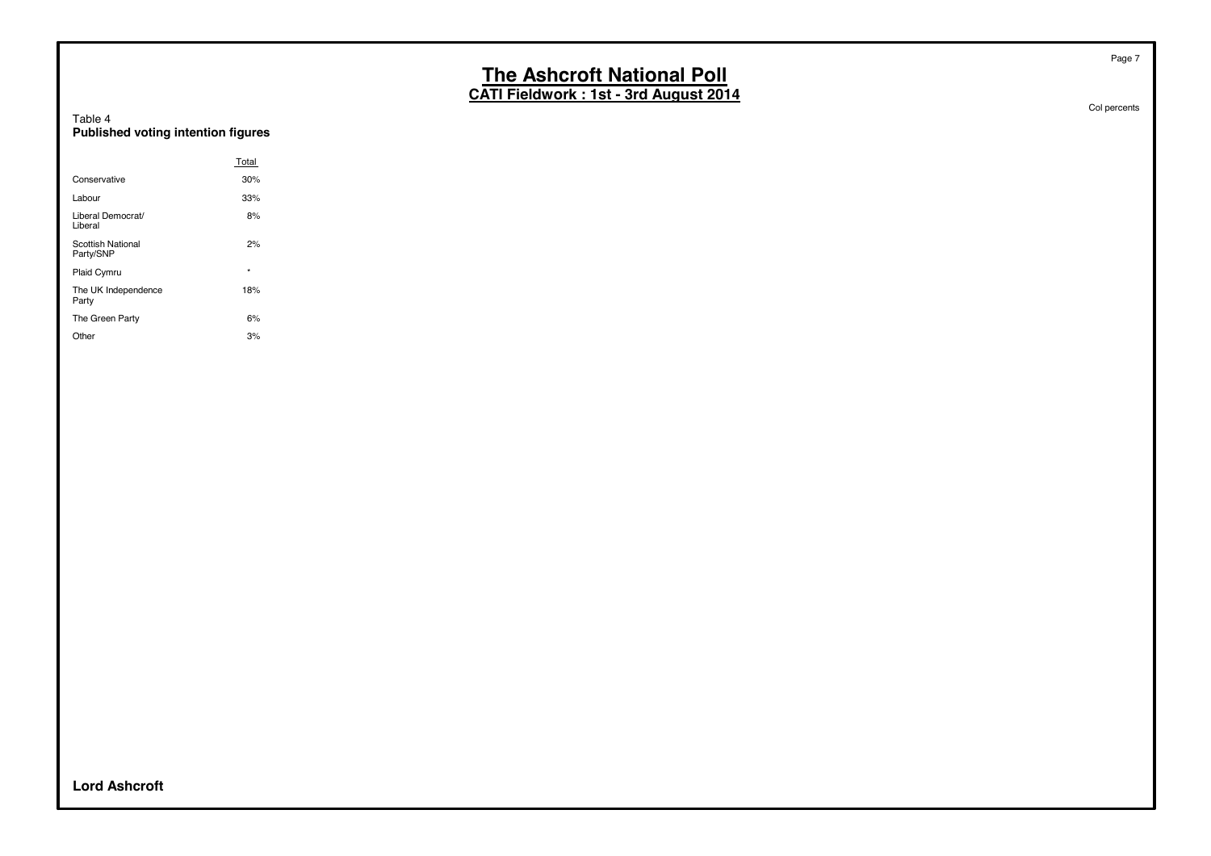**CATI Fieldwork : 1st - 3rd August 2014**

| Table 4                            |  |  |
|------------------------------------|--|--|
| Published voting intention figures |  |  |

|                                       | Total   |
|---------------------------------------|---------|
| Conservative                          | 30%     |
| Labour                                | 33%     |
| Liberal Democrat/<br>Liberal          | 8%      |
| <b>Scottish National</b><br>Party/SNP | 2%      |
| Plaid Cymru                           | $\star$ |
| The UK Independence<br>Party          | 18%     |
| The Green Party                       | 6%      |
| Other                                 | 3%      |

Col percents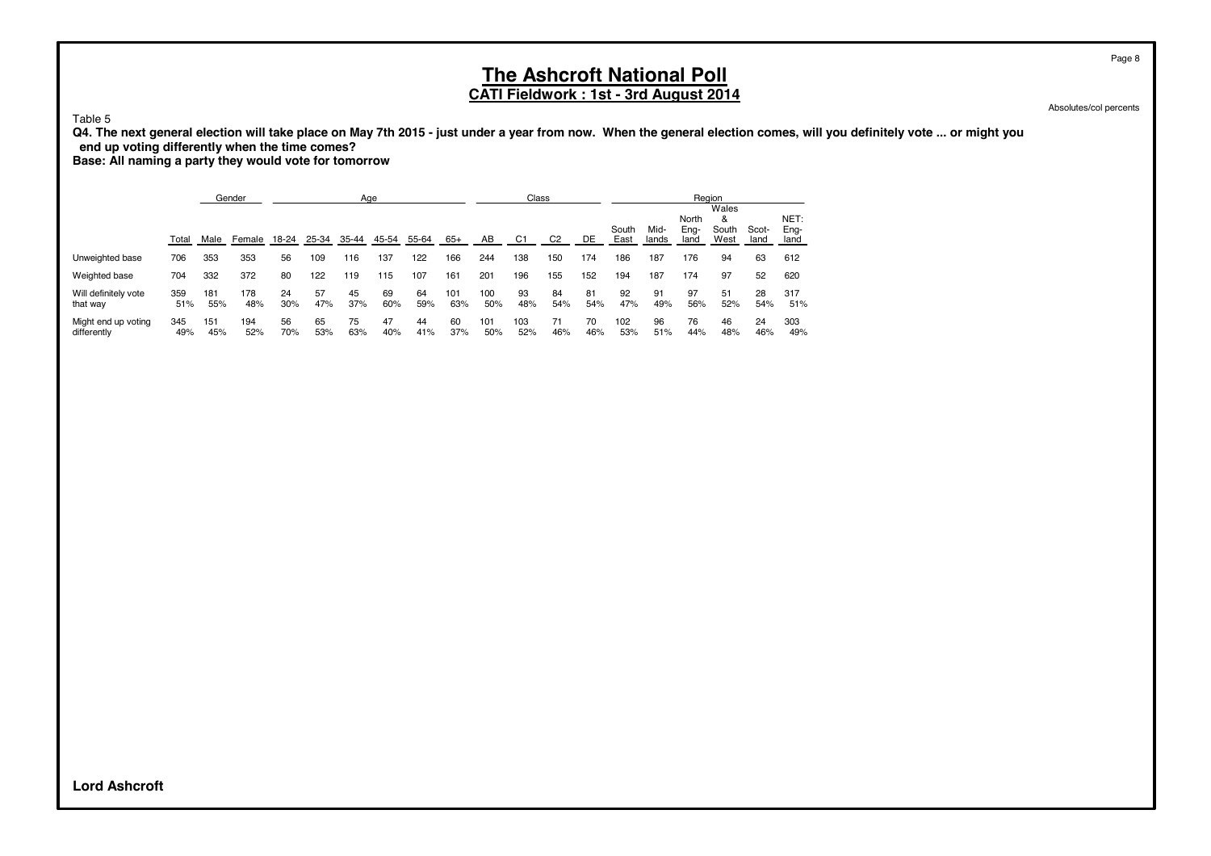**CATI Fieldwork : 1st - 3rd August 2014**

Absolutes/col percents

Table 5

**Q4. The next general election will take place on May 7th 2015 - just under a year from now. When the general election comes, will you definitely vote ... or might you end up voting differently when the time comes?**

**Base: All naming a party they would vote for tomorrow**

|                                    |            |            | Gender     |           | Age       |           |           |           |            |            | Class          |                |           |               |               | Region                |                             |               |                      |
|------------------------------------|------------|------------|------------|-----------|-----------|-----------|-----------|-----------|------------|------------|----------------|----------------|-----------|---------------|---------------|-----------------------|-----------------------------|---------------|----------------------|
|                                    | Total      | Male       | Female     | 18-24     | 25-34     | 35-44     | 45-54     | 55-64     | $65+$      | AB         | C <sub>1</sub> | C <sub>2</sub> | DE        | South<br>East | Mid-<br>lands | North<br>Eng-<br>land | Wales<br>&<br>South<br>West | Scot-<br>land | NET:<br>Ena-<br>land |
| Unweighted base                    | 706        | 353        | 353        | 56        | 109       | 116       | 137       | 122       | 166        | 244        | 138            | 150            | 174       | 186           | 187           | 176                   | 94                          | 63            | 612                  |
| Weighted base                      | 704        | 332        | 372        | 80        | 122       | 119       | 115       | 107       | 161        | 201        | 196            | 155            | 152       | 194           | 187           | 174                   | 97                          | 52            | 620                  |
| Will definitely vote<br>that way   | 359<br>51% | 181<br>55% | 178<br>48% | 24<br>30% | 57<br>47% | 45<br>37% | 69<br>60% | 64<br>59% | 101<br>63% | 100<br>50% | 93<br>48%      | 84<br>54%      | 81<br>54% | 92<br>47%     | 91<br>49%     | 97<br>56%             | 51<br>52%                   | 28<br>54%     | 317<br>51%           |
| Might end up voting<br>differently | 345<br>49% | 151<br>45% | 194<br>52% | 56<br>70% | 65<br>53% | 75<br>63% | 47<br>40% | 44<br>41% | 60<br>37%  | 101<br>50% | 103<br>52%     | 71<br>46%      | 70<br>46% | 102<br>53%    | 96<br>51%     | 76<br>44%             | 46<br>48%                   | 24<br>46%     | 303<br>49%           |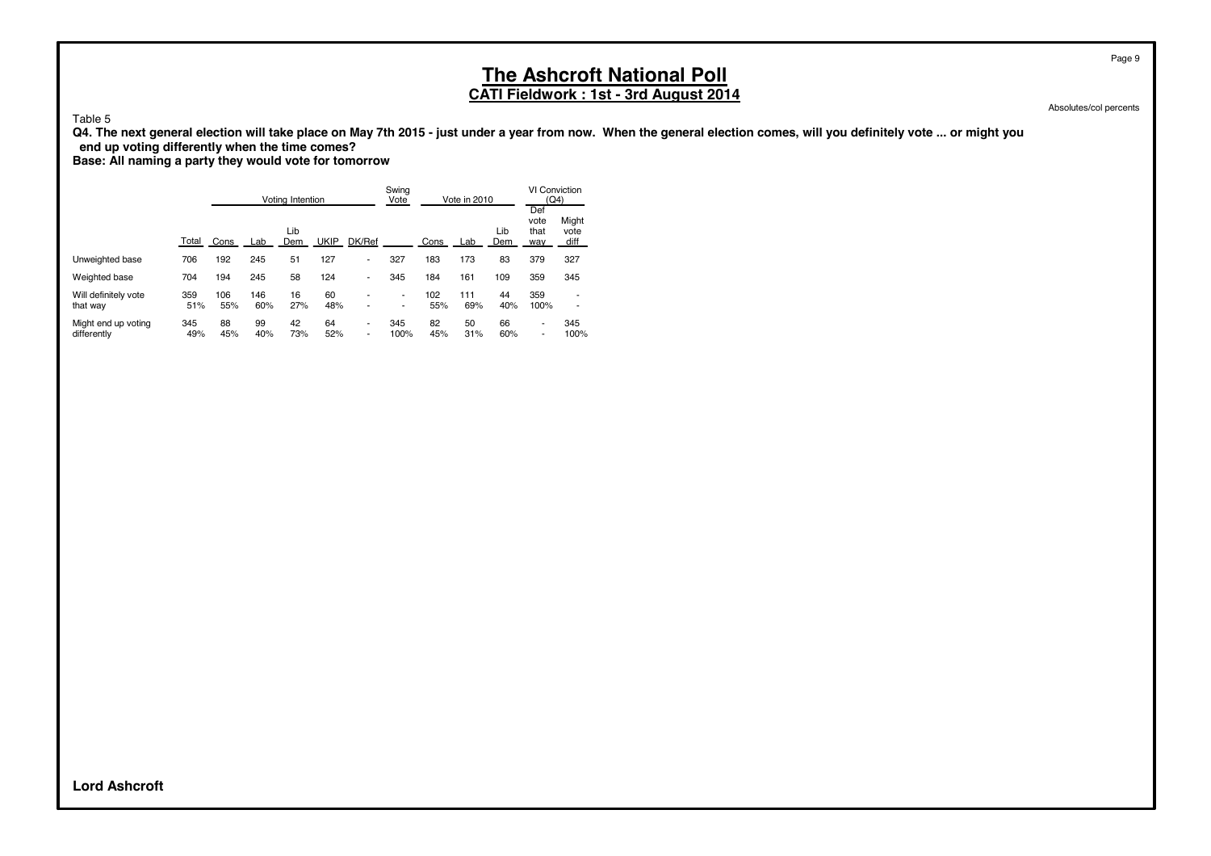**CATI Fieldwork : 1st - 3rd August 2014**

Table 5

**Q4. The next general election will take place on May 7th 2015 - just under a year from now. When the general election comes, will you definitely vote ... or might you end up voting differently when the time comes?**

**Base: All naming a party they would vote for tomorrow**

|                                    |            |            |            | Voting Intention |             |        | Swing<br>Vote |            | Vote in 2010 |            | VI Conviction<br>(Q4)      |                       |
|------------------------------------|------------|------------|------------|------------------|-------------|--------|---------------|------------|--------------|------------|----------------------------|-----------------------|
|                                    | Total      | Cons       | Lab        | Lib<br>Dem       | <b>UKIP</b> | DK/Ref |               | Cons       | Lab          | Lib<br>Dem | Def<br>vote<br>that<br>way | Might<br>vote<br>diff |
| Unweighted base                    | 706        | 192        | 245        | 51               | 127         | ۰      | 327           | 183        | 173          | 83         | 379                        | 327                   |
| Weighted base                      | 704        | 194        | 245        | 58               | 124         | ٠      | 345           | 184        | 161          | 109        | 359                        | 345                   |
| Will definitely vote<br>that way   | 359<br>51% | 106<br>55% | 146<br>60% | 16<br>27%        | 60<br>48%   | ۰      | ٠<br>٠        | 102<br>55% | 111<br>69%   | 44<br>40%  | 359<br>100%                | ۰                     |
| Might end up voting<br>differently | 345<br>49% | 88<br>45%  | 99<br>40%  | 42<br>73%        | 64<br>52%   | ٠<br>٠ | 345<br>100%   | 82<br>45%  | 50<br>31%    | 66<br>60%  | ۰<br>۰                     | 345<br>100%           |

Absolutes/col percents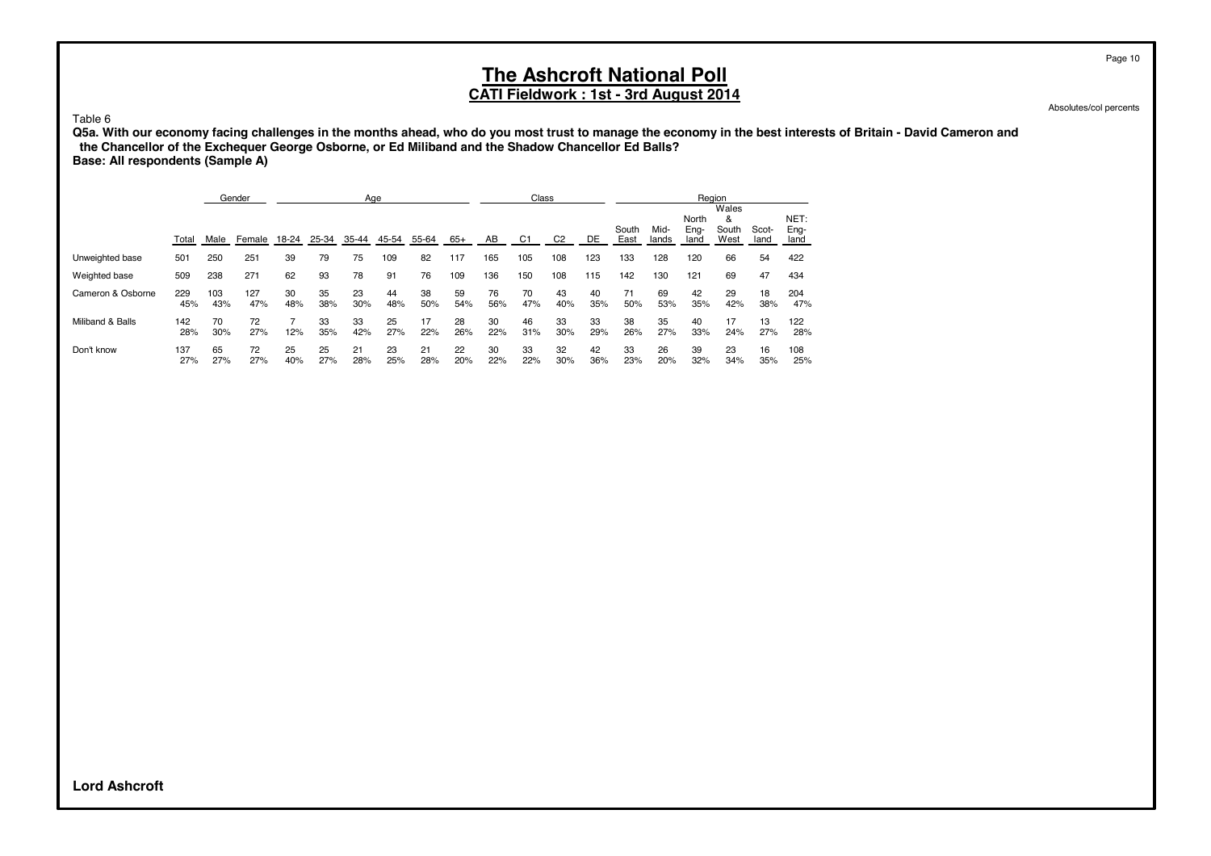#### **CATI Fieldwork : 1st - 3rd August 2014**

Absolutes/col percents

Table 6

**Q5a. With our economy facing challenges in the months ahead, who do you most trust to manage the economy in the best interests of Britain - David Cameron and the Chancellor of the Exchequer George Osborne, or Ed Miliband and the Shadow Chancellor Ed Balls? Base: All respondents (Sample A)**

|                   |            |            | Gender     |           |           | Age       |           |           |           |           | Class     |                |           |               |               | Region                |                             |               |                      |
|-------------------|------------|------------|------------|-----------|-----------|-----------|-----------|-----------|-----------|-----------|-----------|----------------|-----------|---------------|---------------|-----------------------|-----------------------------|---------------|----------------------|
|                   | Total      | Male       | Female     | 18-24     | 25-34     | 35-44     | 45-54     | 55-64     | 65+       | AB        | C1        | C <sub>2</sub> | DE        | South<br>East | Mid-<br>lands | North<br>Eng-<br>land | Wales<br>&<br>South<br>West | Scot-<br>land | NET:<br>Eng-<br>land |
| Unweighted base   | 501        | 250        | 251        | 39        | 79        | 75        | 109       | 82        | 117       | 165       | 105       | 108            | 123       | 133           | 128           | 120                   | 66                          | 54            | 422                  |
| Weighted base     | 509        | 238        | 271        | 62        | 93        | 78        | 91        | 76        | 109       | 136       | 150       | 108            | 115       | 142           | 130           | 121                   | 69                          | 47            | 434                  |
| Cameron & Osborne | 229<br>45% | 103<br>43% | 127<br>47% | 30<br>48% | 35<br>38% | 23<br>30% | 44<br>48% | 38<br>50% | 59<br>54% | 76<br>56% | 70<br>47% | 43<br>40%      | 40<br>35% | 71<br>50%     | 69<br>53%     | 42<br>35%             | 29<br>42%                   | 18<br>38%     | 204<br>47%           |
| Miliband & Balls  | 142<br>28% | 70<br>30%  | 72<br>27%  | 12%       | 33<br>35% | 33<br>42% | 25<br>27% | 17<br>22% | 28<br>26% | 30<br>22% | 46<br>31% | 33<br>30%      | 33<br>29% | 38<br>26%     | 35<br>27%     | 40<br>33%             | 17<br>24%                   | 13<br>27%     | 122<br>28%           |
| Don't know        | 137<br>27% | 65<br>27%  | 72<br>27%  | 25<br>40% | 25<br>27% | 21<br>28% | 23<br>25% | 21<br>28% | 22<br>20% | 30<br>22% | 33<br>22% | 32<br>30%      | 42<br>36% | 33<br>23%     | 26<br>20%     | 39<br>32%             | 23<br>34%                   | 16<br>35%     | 108<br>25%           |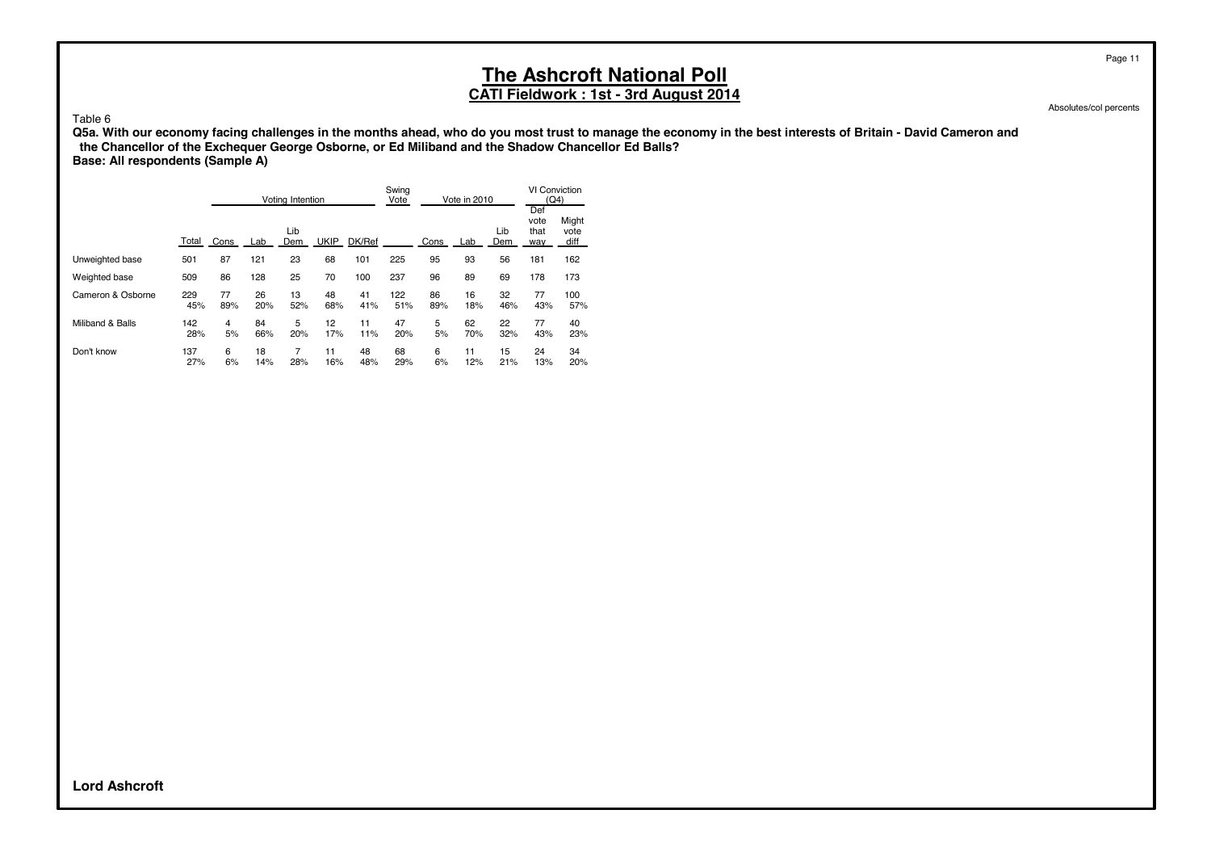#### **CATI Fieldwork : 1st - 3rd August 2014**

Absolutes/col percents

Page 11

Table 6

**Q5a. With our economy facing challenges in the months ahead, who do you most trust to manage the economy in the best interests of Britain - David Cameron and the Chancellor of the Exchequer George Osborne, or Ed Miliband and the Shadow Chancellor Ed Balls? Base: All respondents (Sample A)**

|                   |            |           |           | Voting Intention |             |           | Swing<br>Vote |           | Vote in 2010 |            | <b>VI Conviction</b><br>(Q4) |                       |
|-------------------|------------|-----------|-----------|------------------|-------------|-----------|---------------|-----------|--------------|------------|------------------------------|-----------------------|
|                   | Total      | Cons      | Lab       | Lib<br>Dem       | <b>UKIP</b> | DK/Ref    |               | Cons      | Lab          | Lib<br>Dem | Def<br>vote<br>that<br>way   | Might<br>vote<br>diff |
| Unweighted base   | 501        | 87        | 121       | 23               | 68          | 101       | 225           | 95        | 93           | 56         | 181                          | 162                   |
| Weighted base     | 509        | 86        | 128       | 25               | 70          | 100       | 237           | 96        | 89           | 69         | 178                          | 173                   |
| Cameron & Osborne | 229<br>45% | 77<br>89% | 26<br>20% | 13<br>52%        | 48<br>68%   | 41<br>41% | 122<br>51%    | 86<br>89% | 16<br>18%    | 32<br>46%  | 77<br>43%                    | 100<br>57%            |
| Miliband & Balls  | 142<br>28% | 4<br>5%   | 84<br>66% | 5<br>20%         | 12<br>17%   | 11<br>11% | 47<br>20%     | 5<br>5%   | 62<br>70%    | 22<br>32%  | 77<br>43%                    | 40<br>23%             |
| Don't know        | 137<br>27% | 6<br>6%   | 18<br>14% | 7<br>28%         | 11<br>16%   | 48<br>48% | 68<br>29%     | 6<br>6%   | 11<br>12%    | 15<br>21%  | 24<br>13%                    | 34<br>20%             |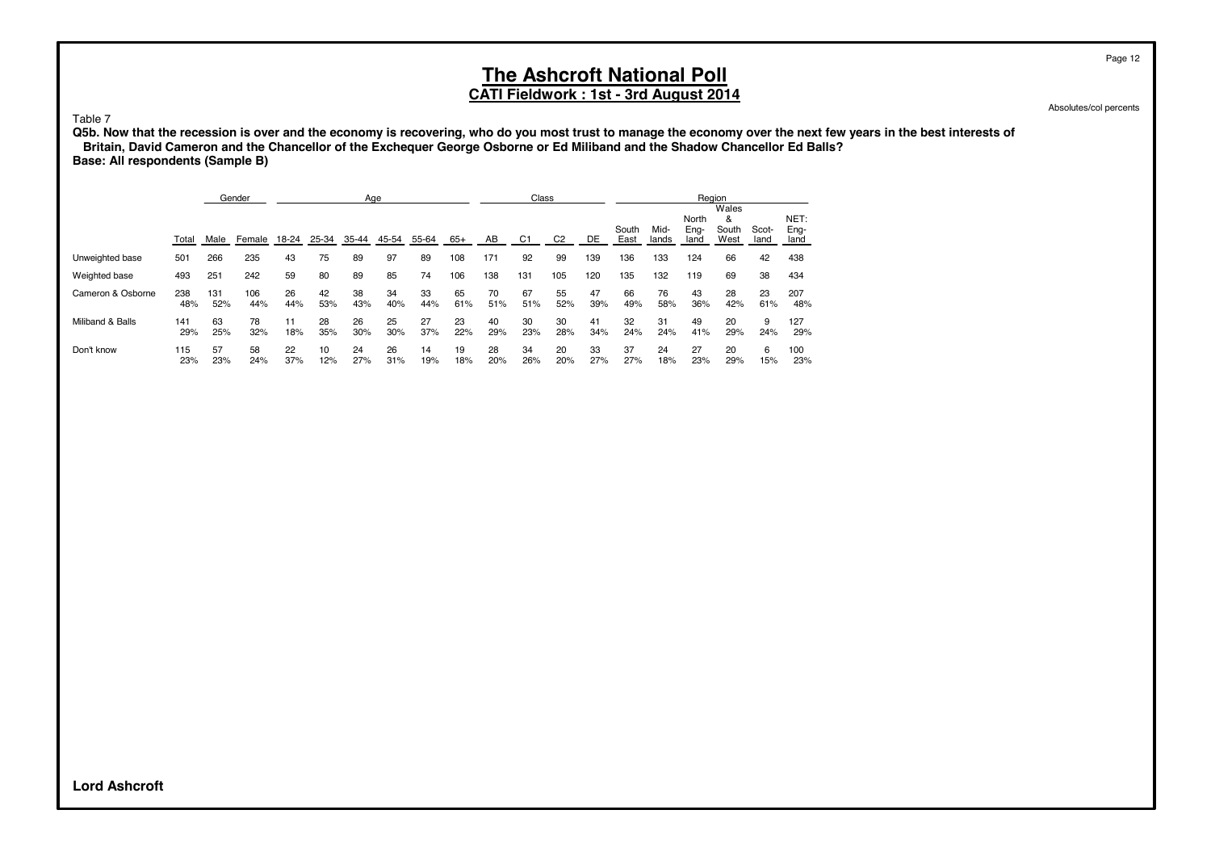#### **CATI Fieldwork : 1st - 3rd August 2014**

Absolutes/col percents

Table 7

**Q5b. Now that the recession is over and the economy is recovering, who do you most trust to manage the economy over the next few years in the best interests of Britain, David Cameron and the Chancellor of the Exchequer George Osborne or Ed Miliband and the Shadow Chancellor Ed Balls? Base: All respondents (Sample B)**

|                   |            |            | Gender     |           |           | Age       |           |           |           |           | Class          |                |           |               |               |                       | Region                      |               |                      |
|-------------------|------------|------------|------------|-----------|-----------|-----------|-----------|-----------|-----------|-----------|----------------|----------------|-----------|---------------|---------------|-----------------------|-----------------------------|---------------|----------------------|
|                   | Total      | Male       | Female     | 18-24     | 25-34     | $35 - 44$ | 45-54     | 55-64     | $65+$     | AB        | C <sub>1</sub> | C <sub>2</sub> | DE        | South<br>East | Mid-<br>lands | North<br>Eng-<br>land | Wales<br>&<br>South<br>West | Scot-<br>land | NET:<br>Eng-<br>land |
| Unweighted base   | 501        | 266        | 235        | 43        | 75        | 89        | 97        | 89        | 108       | 171       | 92             | 99             | 139       | 136           | 133           | 124                   | 66                          | 42            | 438                  |
| Weighted base     | 493        | 251        | 242        | 59        | 80        | 89        | 85        | 74        | 106       | 138       | 131            | 105            | 120       | 135           | 132           | 119                   | 69                          | 38            | 434                  |
| Cameron & Osborne | 238<br>48% | 131<br>52% | 106<br>44% | 26<br>44% | 42<br>53% | 38<br>43% | 34<br>40% | 33<br>44% | 65<br>61% | 70<br>51% | 67<br>51%      | 55<br>52%      | 47<br>39% | 66<br>49%     | 76<br>58%     | 43<br>36%             | 28<br>42%                   | 23<br>61%     | 207<br>48%           |
| Miliband & Balls  | 141<br>29% | 63<br>25%  | 78<br>32%  | 11<br>18% | 28<br>35% | 26<br>30% | 25<br>30% | 27<br>37% | 23<br>22% | 40<br>29% | 30<br>23%      | 30<br>28%      | 41<br>34% | 32<br>24%     | 31<br>24%     | 49<br>41%             | 20<br>29%                   | 9<br>24%      | 127<br>29%           |
| Don't know        | 115<br>23% | 57<br>23%  | 58<br>24%  | 22<br>37% | 10<br>12% | 24<br>27% | 26<br>31% | 14<br>19% | 19<br>18% | 28<br>20% | 34<br>26%      | 20<br>20%      | 33<br>27% | 37<br>27%     | 24<br>18%     | 27<br>23%             | 20<br>29%                   | 6<br>15%      | 100<br>23%           |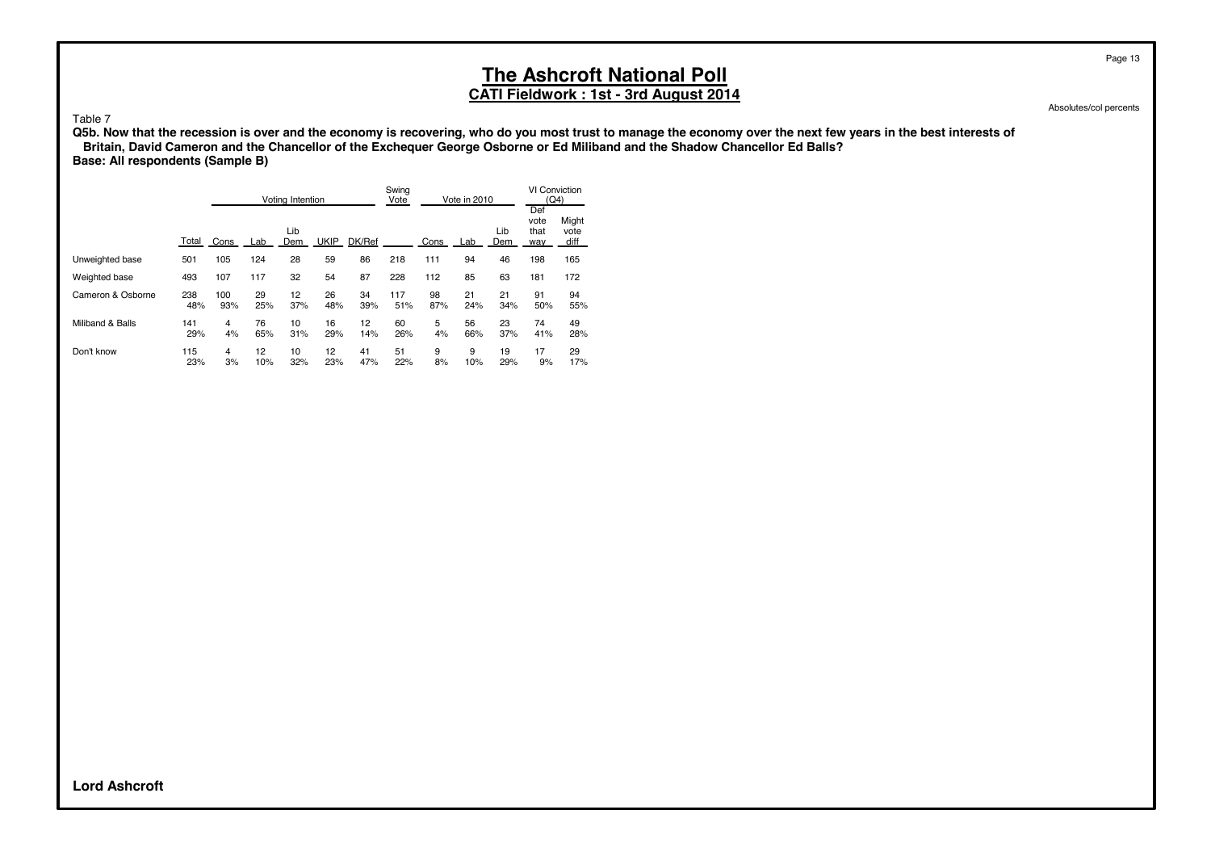#### **CATI Fieldwork : 1st - 3rd August 2014**

Absolutes/col percents

Page 13

#### Table 7

**Q5b. Now that the recession is over and the economy is recovering, who do you most trust to manage the economy over the next few years in the best interests of Britain, David Cameron and the Chancellor of the Exchequer George Osborne or Ed Miliband and the Shadow Chancellor Ed Balls? Base: All respondents (Sample B)**

|                   |            | Voting Intention |           |            | Swing<br>Vote<br>Vote in 2010 |           |            | <b>VI Conviction</b><br>(Q4) |           |            |                            |                       |
|-------------------|------------|------------------|-----------|------------|-------------------------------|-----------|------------|------------------------------|-----------|------------|----------------------------|-----------------------|
|                   | Total      | Cons             | Lab       | Lib<br>Dem | <b>UKIP</b>                   | DK/Ref    |            | Cons                         | Lab       | Lib<br>Dem | Def<br>vote<br>that<br>way | Might<br>vote<br>diff |
| Unweighted base   | 501        | 105              | 124       | 28         | 59                            | 86        | 218        | 111                          | 94        | 46         | 198                        | 165                   |
| Weighted base     | 493        | 107              | 117       | 32         | 54                            | 87        | 228        | 112                          | 85        | 63         | 181                        | 172                   |
| Cameron & Osborne | 238<br>48% | 100<br>93%       | 29<br>25% | 12<br>37%  | 26<br>48%                     | 34<br>39% | 117<br>51% | 98<br>87%                    | 21<br>24% | 21<br>34%  | 91<br>50%                  | 94<br>55%             |
| Miliband & Balls  | 141<br>29% | 4<br>4%          | 76<br>65% | 10<br>31%  | 16<br>29%                     | 12<br>14% | 60<br>26%  | 5<br>4%                      | 56<br>66% | 23<br>37%  | 74<br>41%                  | 49<br>28%             |
| Don't know        | 115<br>23% | 4<br>3%          | 12<br>10% | 10<br>32%  | 12<br>23%                     | 41<br>47% | 51<br>22%  | 9<br>8%                      | 9<br>10%  | 19<br>29%  | 17<br>9%                   | 29<br>17%             |

**Lord Ashcroft**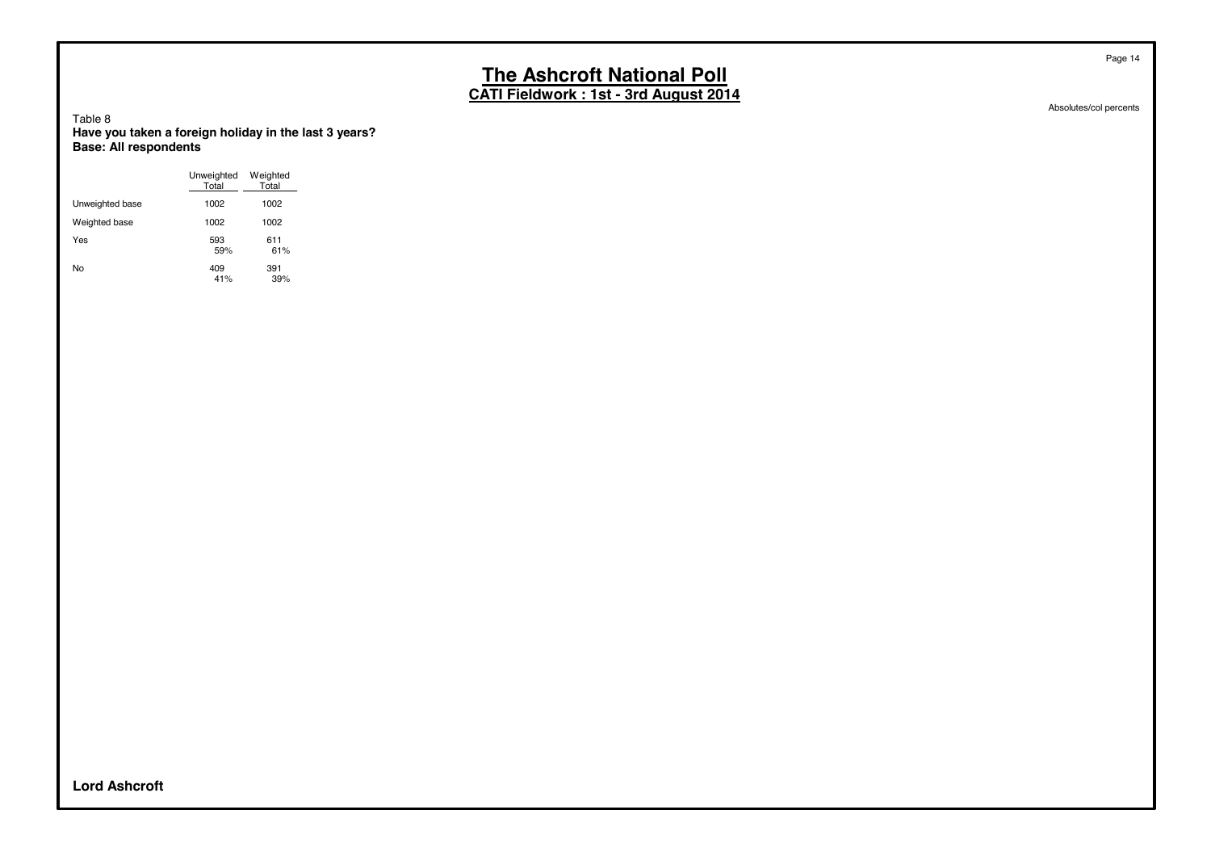**CATI Fieldwork : 1st - 3rd August 2014**

Absolutes/col percents

Page 14

Table 8 **Have you taken a foreign holiday in the last 3 years? Base: All respondents**

|                 | Unweighted<br>Total | Weighted<br>Total |
|-----------------|---------------------|-------------------|
| Unweighted base | 1002                | 1002              |
| Weighted base   | 1002                | 1002              |
| Yes             | 593<br>59%          | 611<br>61%        |
| No              | 409<br>41%          | 391<br>39%        |

**Lord Ashcroft**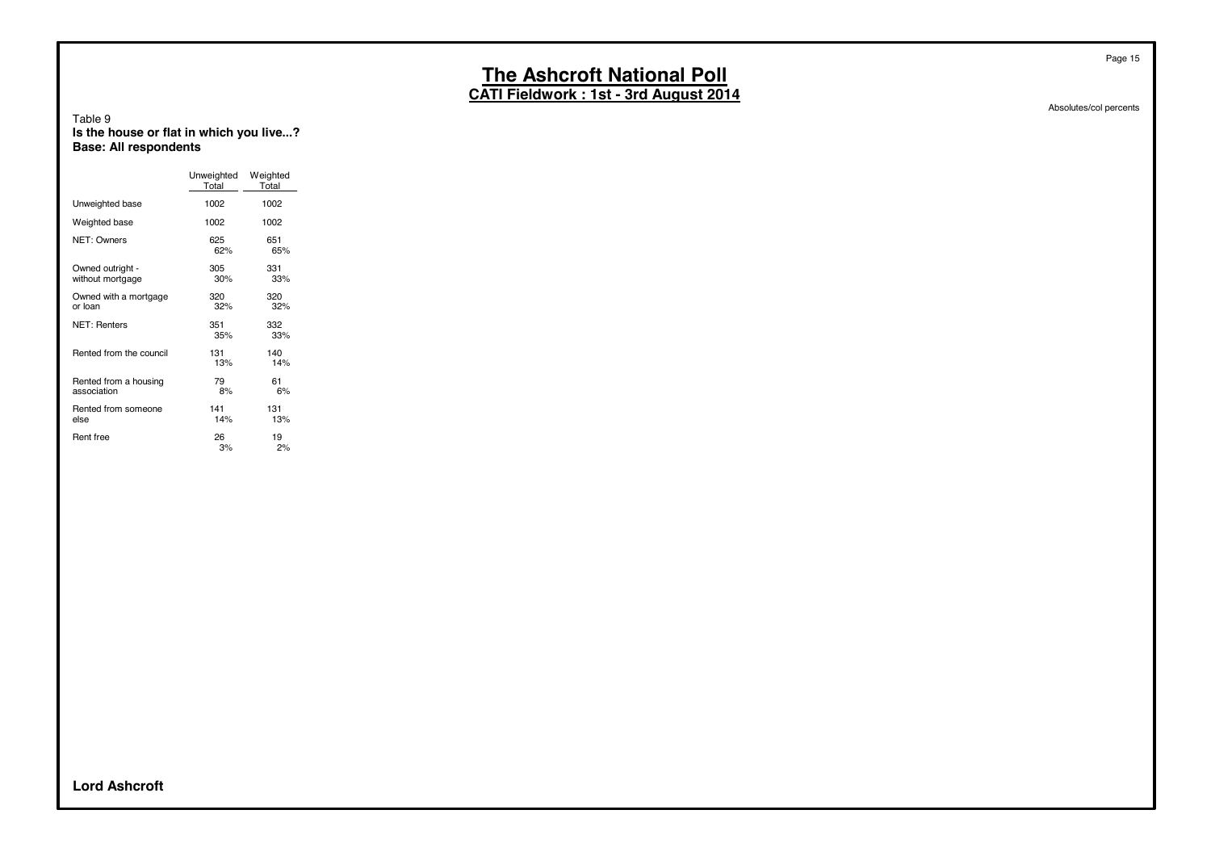**CATI Fieldwork : 1st - 3rd August 2014**

#### Table 9 **Is the house or flat in which you live...? Base: All respondents**

|                                      | Unweighted<br>Total | Weighted<br>Total |
|--------------------------------------|---------------------|-------------------|
| Unweighted base                      | 1002                | 1002              |
| Weighted base                        | 1002                | 1002              |
| NET: Owners                          | 625<br>62%          | 651<br>65%        |
| Owned outright -<br>without mortgage | 305<br>30%          | 331<br>33%        |
| Owned with a mortgage<br>or loan     | 320<br>32%          | 320<br>32%        |
| <b>NET: Renters</b>                  | 351<br>35%          | 332<br>33%        |
| Rented from the council              | 131<br>13%          | 140<br>14%        |
| Rented from a housing<br>association | 79<br>8%            | 61<br>6%          |
| Rented from someone<br>else          | 141<br>14%          | 131<br>13%        |
| Rent free                            | 26<br>3%            | 19<br>2%          |

Absolutes/col percents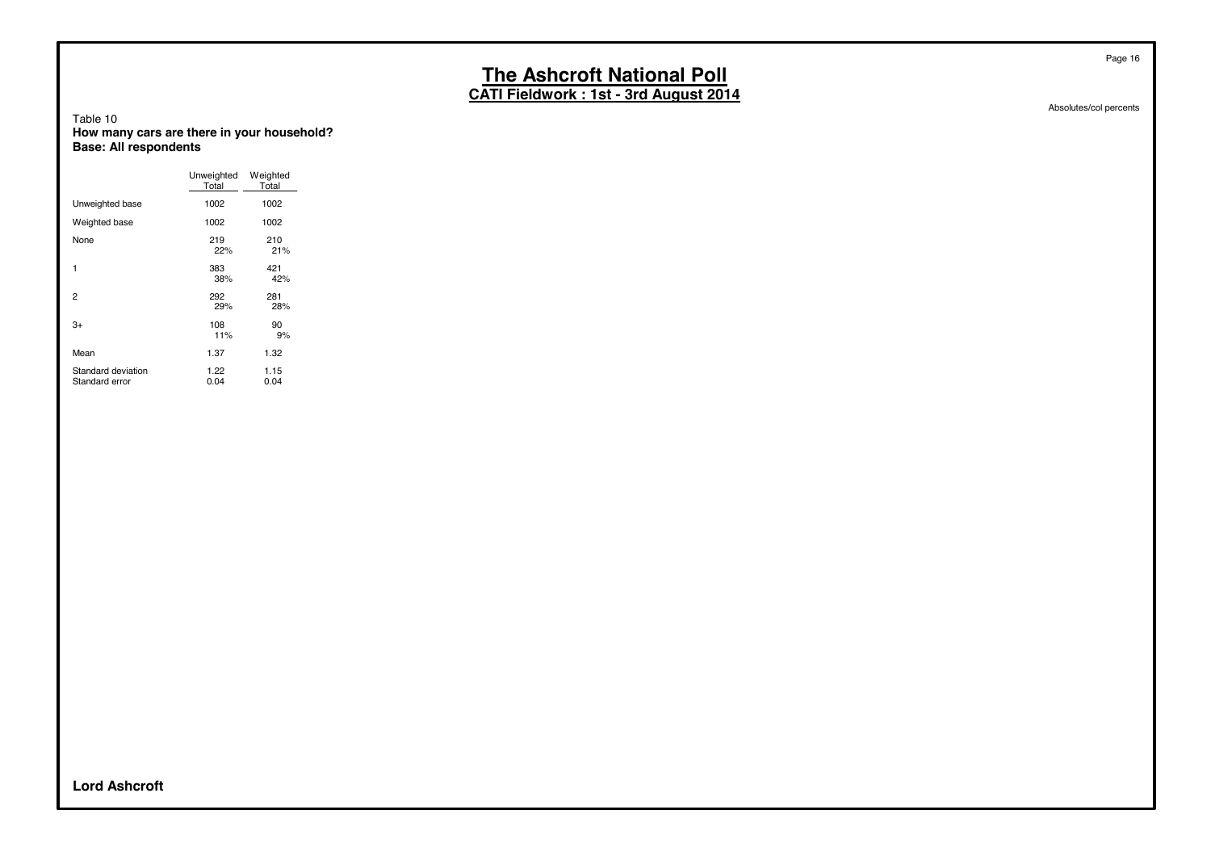**CATI Fieldwork : 1st - 3rd August 2014**

Table 10 **How many cars are there in your household? Base: All respondents**

|                                      | Unweighted<br>Total | Weighted<br>Total |
|--------------------------------------|---------------------|-------------------|
| Unweighted base                      | 1002                | 1002              |
| Weighted base                        | 1002                | 1002              |
| None                                 | 219<br>22%          | 210<br>21%        |
| 1                                    | 383<br>38%          | 421<br>42%        |
| 2                                    | 292<br>29%          | 281<br>28%        |
| $3+$                                 | 108<br>11%          | 90<br>9%          |
| Mean                                 | 1.37                | 1.32              |
| Standard deviation<br>Standard error | 1.22<br>0.04        | 1.15<br>0.04      |

Absolutes/col percents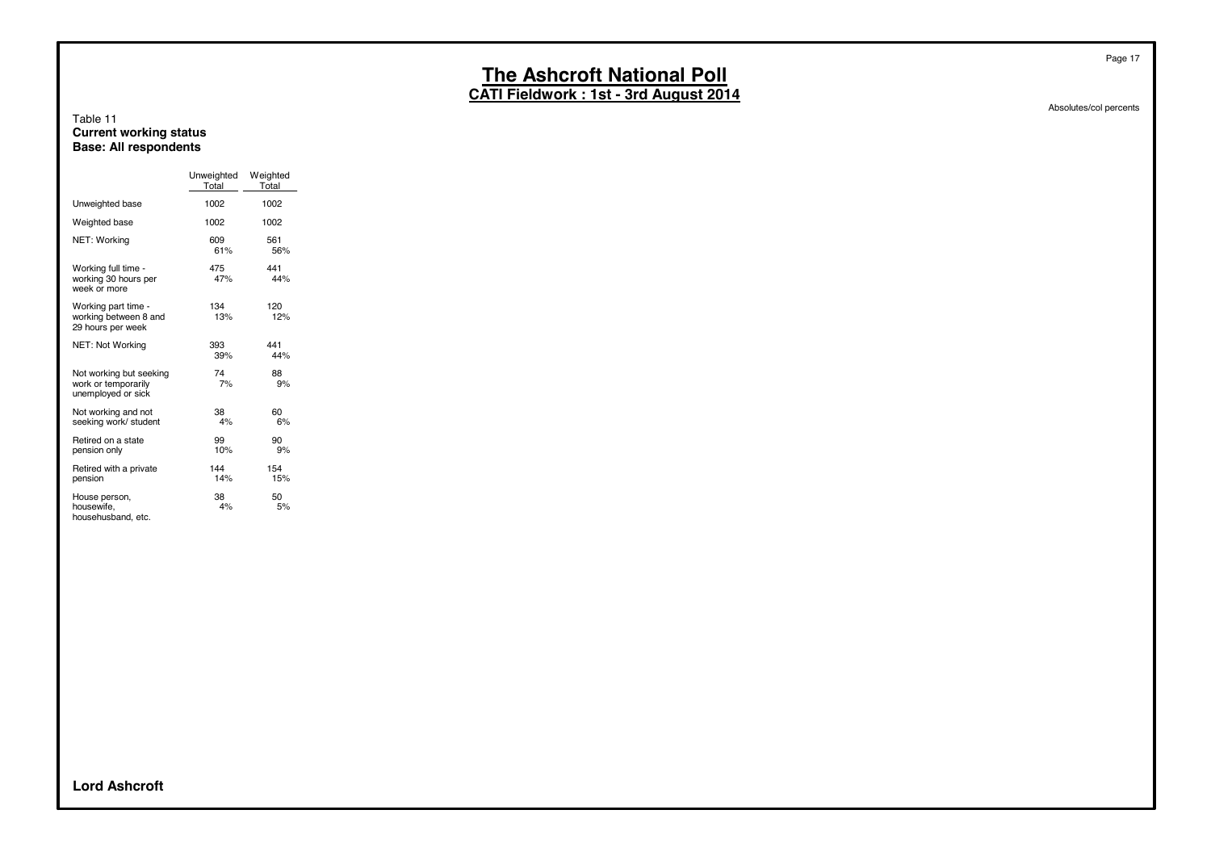**CATI Fieldwork : 1st - 3rd August 2014**

#### Table 11 **Current working status Base: All respondents**

|                                                                      | Unweighted<br>Total | Weighted<br>Total |
|----------------------------------------------------------------------|---------------------|-------------------|
| Unweighted base                                                      | 1002                | 1002              |
| Weighted base                                                        | 1002                | 1002              |
| NET: Working                                                         | 609<br>61%          | 561<br>56%        |
| Working full time -<br>working 30 hours per<br>week or more          | 475<br>47%          | 441<br>44%        |
| Working part time -<br>working between 8 and<br>29 hours per week    | 134<br>13%          | 120<br>12%        |
| NET: Not Working                                                     | 393<br>39%          | 441<br>44%        |
| Not working but seeking<br>work or temporarily<br>unemployed or sick | 74<br>7%            | 88<br>9%          |
| Not working and not<br>seeking work/ student                         | 38<br>4%            | 60<br>6%          |
| Retired on a state<br>pension only                                   | 99<br>10%           | 90<br>9%          |
| Retired with a private<br>pension                                    | 144<br>14%          | 154<br>15%        |
| House person,<br>housewife,<br>househusband, etc.                    | 38<br>4%            | 50<br>5%          |

Absolutes/col percents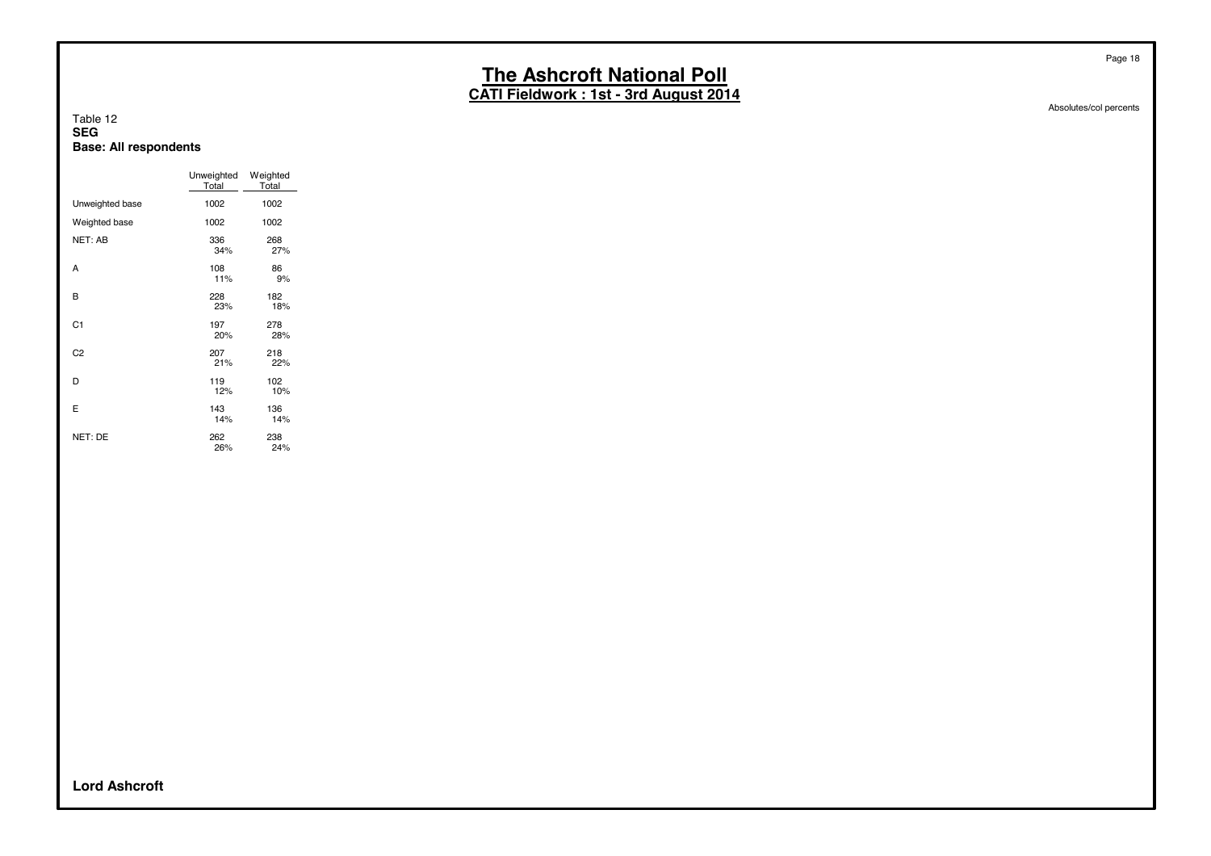**CATI Fieldwork : 1st - 3rd August 2014**

#### Table 12 **SEG Base: All respondents**

|                 | Unweighted<br>Total | Weighted<br>Total |
|-----------------|---------------------|-------------------|
| Unweighted base | 1002                | 1002              |
| Weighted base   | 1002                | 1002              |
| NET: AB         | 336<br>34%          | 268<br>27%        |
| A               | 108<br>11%          | 86<br>9%          |
| B               | 228<br>23%          | 182<br>18%        |
| C <sub>1</sub>  | 197<br>20%          | 278<br>28%        |
| C <sub>2</sub>  | 207<br>21%          | 218<br>22%        |
| D               | 119<br>12%          | 102<br>10%        |
| E               | 143<br>14%          | 136<br>14%        |
| NET: DE         | 262<br>26%          | 238<br>24%        |

Absolutes/col percents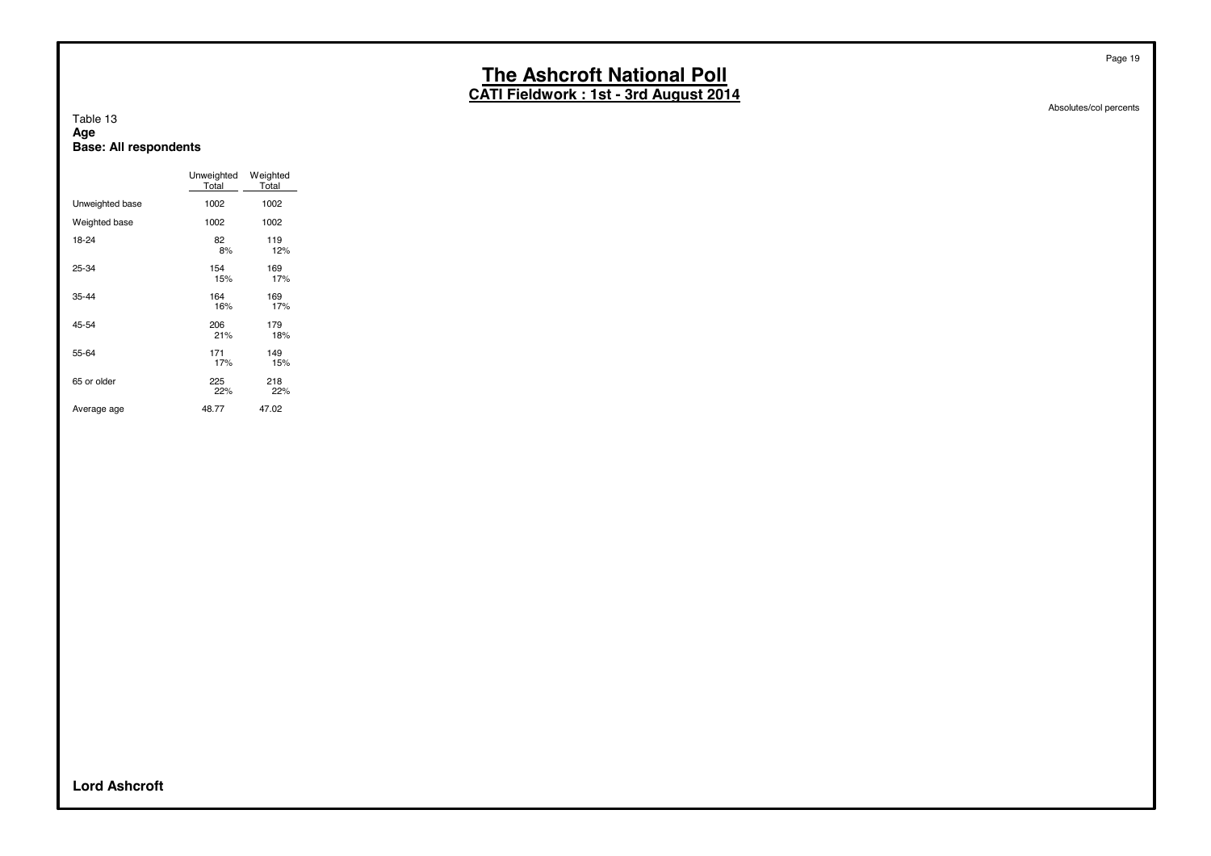**CATI Fieldwork : 1st - 3rd August 2014**

Absolutes/col percents

#### Table 13 **Age Base: All respondents**

|                 | Unweighted<br>Total | Weighted<br>Total |
|-----------------|---------------------|-------------------|
| Unweighted base | 1002                | 1002              |
| Weighted base   | 1002                | 1002              |
| 18-24           | 82<br>8%            | 119<br>12%        |
| 25-34           | 154<br>15%          | 169<br>17%        |
| 35-44           | 164<br>16%          | 169<br>17%        |
| 45-54           | 206<br>21%          | 179<br>18%        |
| 55-64           | 171<br>17%          | 149<br>15%        |
| 65 or older     | 225<br>22%          | 218<br>22%        |
| Average age     | 48.77               | 47.02             |

**Lord Ashcroft**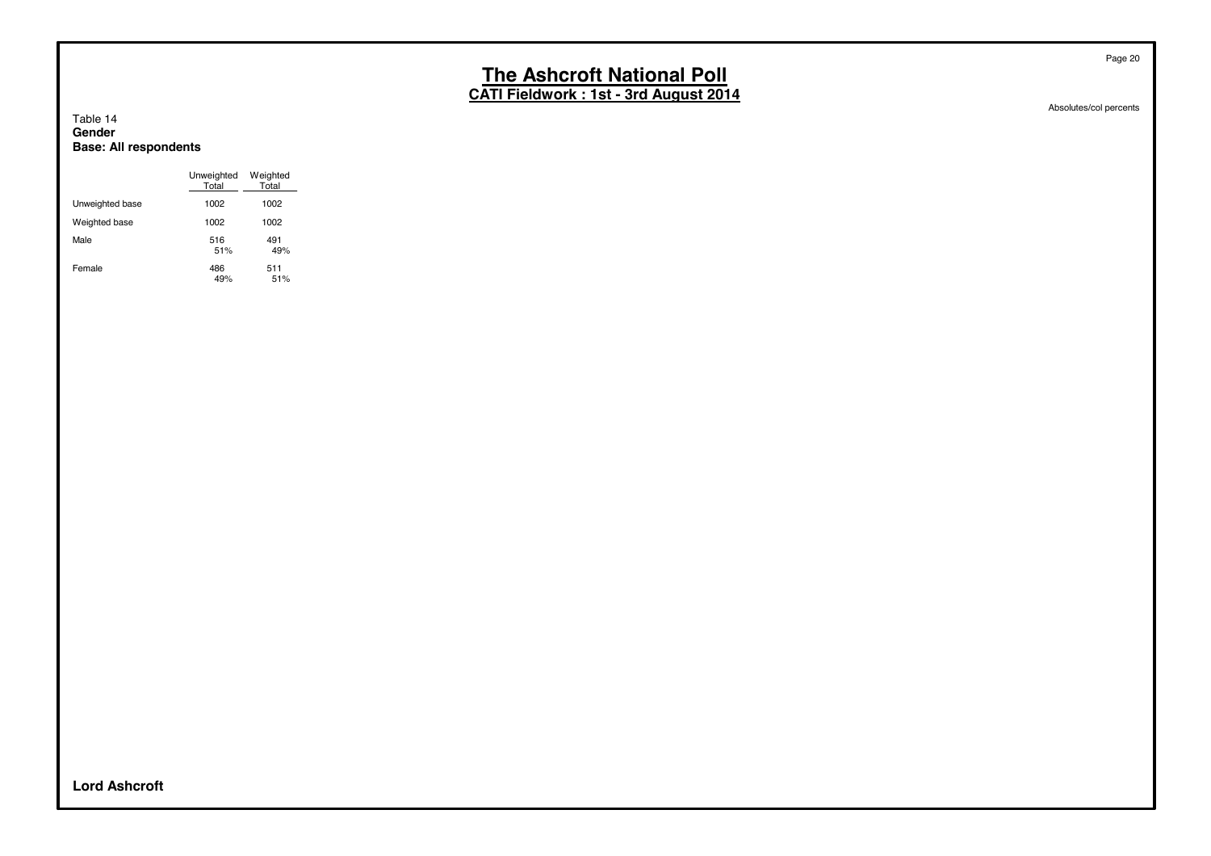**CATI Fieldwork : 1st - 3rd August 2014**

#### Table 14 **Gender Base: All respondents**

|                 | Unweighted<br>Total | Weighted<br>Total |
|-----------------|---------------------|-------------------|
| Unweighted base | 1002                | 1002              |
| Weighted base   | 1002                | 1002              |
| Male            | 516<br>51%          | 491<br>49%        |
| Female          | 486<br>49%          | 511<br>51%        |

Absolutes/col percents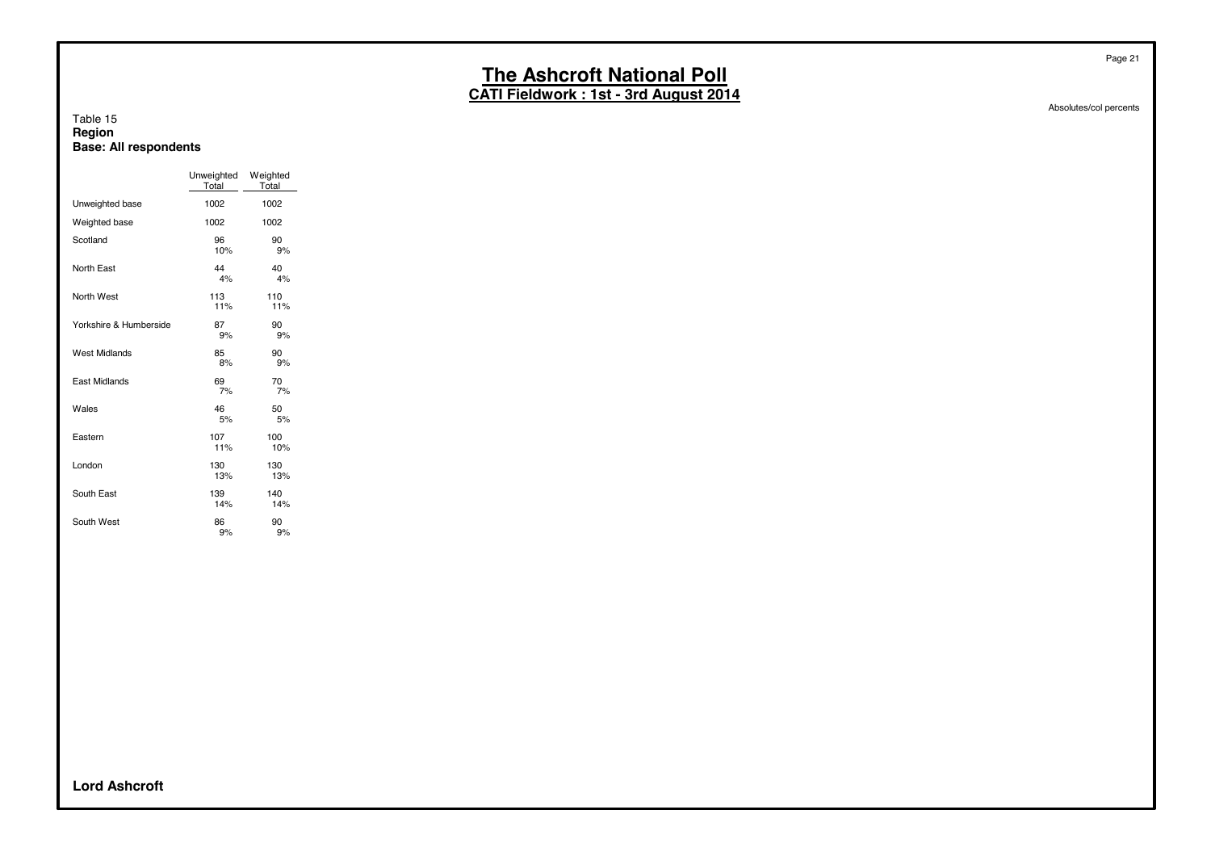**CATI Fieldwork : 1st - 3rd August 2014**

#### Table 15 **Region Base: All respondents**

|                        | Unweighted<br>Total | Weighted<br>Total |
|------------------------|---------------------|-------------------|
| Unweighted base        | 1002                | 1002              |
| Weighted base          | 1002                | 1002              |
| Scotland               | 96<br>10%           | 90<br>9%          |
| North East             | 44<br>4%            | 40<br>4%          |
| North West             | 113<br>11%          | 110<br>11%        |
| Yorkshire & Humberside | 87<br>9%            | 90<br>9%          |
| West Midlands          | 85<br>8%            | 90<br>9%          |
| <b>East Midlands</b>   | 69<br>7%            | 70<br>7%          |
| Wales                  | 46<br>5%            | 50<br>5%          |
| Eastern                | 107<br>11%          | 100<br>10%        |
| London                 | 130<br>13%          | 130<br>13%        |
| South East             | 139<br>14%          | 140<br>14%        |
| South West             | 86<br>9%            | 90<br>9%          |

Absolutes/col percents